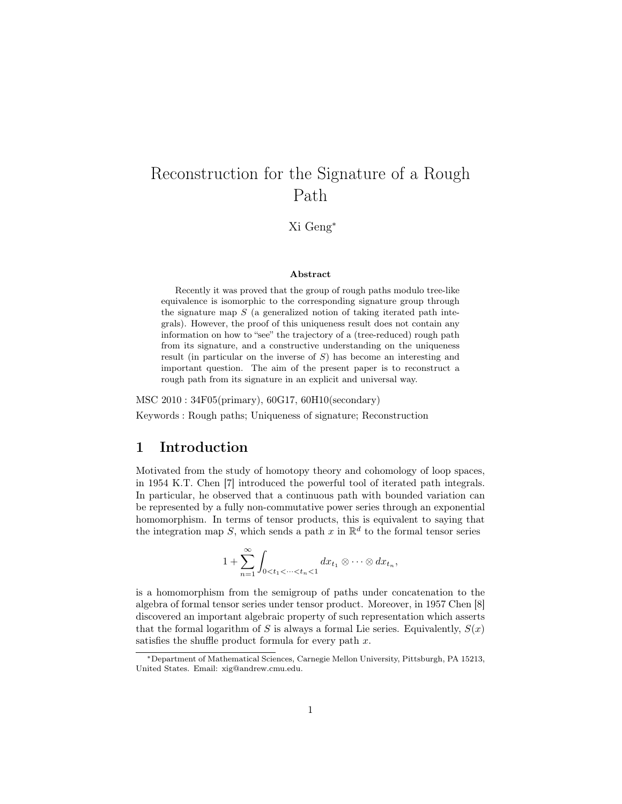# Reconstruction for the Signature of a Rough Path

Xi Geng<sup>∗</sup>

#### Abstract

Recently it was proved that the group of rough paths modulo tree-like equivalence is isomorphic to the corresponding signature group through the signature map  $S$  (a generalized notion of taking iterated path integrals). However, the proof of this uniqueness result does not contain any information on how to "see" the trajectory of a (tree-reduced) rough path from its signature, and a constructive understanding on the uniqueness result (in particular on the inverse of S) has become an interesting and important question. The aim of the present paper is to reconstruct a rough path from its signature in an explicit and universal way.

MSC 2010 : 34F05(primary), 60G17, 60H10(secondary) Keywords : Rough paths; Uniqueness of signature; Reconstruction

# 1 Introduction

Motivated from the study of homotopy theory and cohomology of loop spaces, in 1954 K.T. Chen [7] introduced the powerful tool of iterated path integrals. In particular, he observed that a continuous path with bounded variation can be represented by a fully non-commutative power series through an exponential homomorphism. In terms of tensor products, this is equivalent to saying that the integration map S, which sends a path x in  $\mathbb{R}^d$  to the formal tensor series

$$
1+\sum_{n=1}^{\infty}\int_{0
$$

is a homomorphism from the semigroup of paths under concatenation to the algebra of formal tensor series under tensor product. Moreover, in 1957 Chen [8] discovered an important algebraic property of such representation which asserts that the formal logarithm of S is always a formal Lie series. Equivalently,  $S(x)$ satisfies the shuffle product formula for every path  $x$ .

<sup>∗</sup>Department of Mathematical Sciences, Carnegie Mellon University, Pittsburgh, PA 15213, United States. Email: xig@andrew.cmu.edu.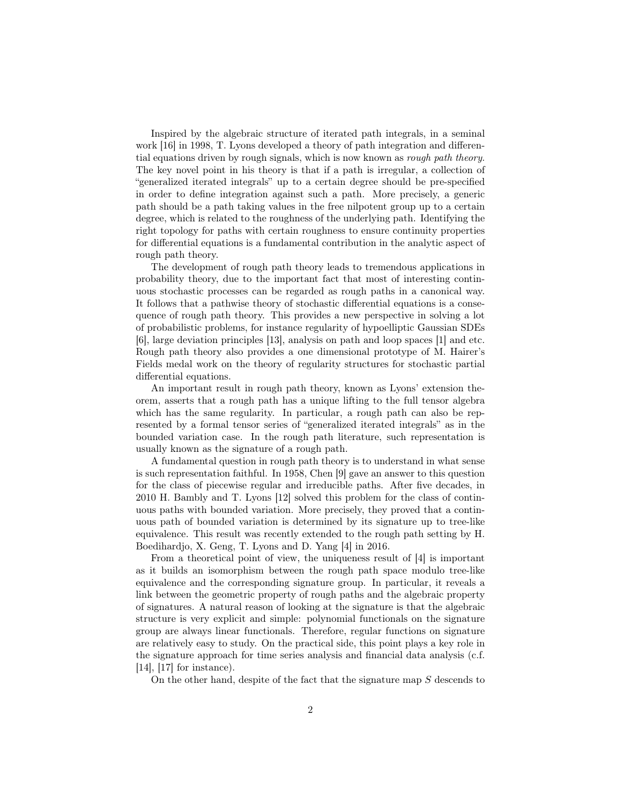Inspired by the algebraic structure of iterated path integrals, in a seminal work [16] in 1998, T. Lyons developed a theory of path integration and differential equations driven by rough signals, which is now known as rough path theory. The key novel point in his theory is that if a path is irregular, a collection of "generalized iterated integrals" up to a certain degree should be pre-specified in order to define integration against such a path. More precisely, a generic path should be a path taking values in the free nilpotent group up to a certain degree, which is related to the roughness of the underlying path. Identifying the right topology for paths with certain roughness to ensure continuity properties for differential equations is a fundamental contribution in the analytic aspect of rough path theory.

The development of rough path theory leads to tremendous applications in probability theory, due to the important fact that most of interesting continuous stochastic processes can be regarded as rough paths in a canonical way. It follows that a pathwise theory of stochastic differential equations is a consequence of rough path theory. This provides a new perspective in solving a lot of probabilistic problems, for instance regularity of hypoelliptic Gaussian SDEs [6], large deviation principles [13], analysis on path and loop spaces [1] and etc. Rough path theory also provides a one dimensional prototype of M. Hairer's Fields medal work on the theory of regularity structures for stochastic partial differential equations.

An important result in rough path theory, known as Lyons' extension theorem, asserts that a rough path has a unique lifting to the full tensor algebra which has the same regularity. In particular, a rough path can also be represented by a formal tensor series of "generalized iterated integrals" as in the bounded variation case. In the rough path literature, such representation is usually known as the signature of a rough path.

A fundamental question in rough path theory is to understand in what sense is such representation faithful. In 1958, Chen [9] gave an answer to this question for the class of piecewise regular and irreducible paths. After five decades, in 2010 H. Bambly and T. Lyons [12] solved this problem for the class of continuous paths with bounded variation. More precisely, they proved that a continuous path of bounded variation is determined by its signature up to tree-like equivalence. This result was recently extended to the rough path setting by H. Boedihardjo, X. Geng, T. Lyons and D. Yang [4] in 2016.

From a theoretical point of view, the uniqueness result of [4] is important as it builds an isomorphism between the rough path space modulo tree-like equivalence and the corresponding signature group. In particular, it reveals a link between the geometric property of rough paths and the algebraic property of signatures. A natural reason of looking at the signature is that the algebraic structure is very explicit and simple: polynomial functionals on the signature group are always linear functionals. Therefore, regular functions on signature are relatively easy to study. On the practical side, this point plays a key role in the signature approach for time series analysis and financial data analysis (c.f. [14], [17] for instance).

On the other hand, despite of the fact that the signature map  $S$  descends to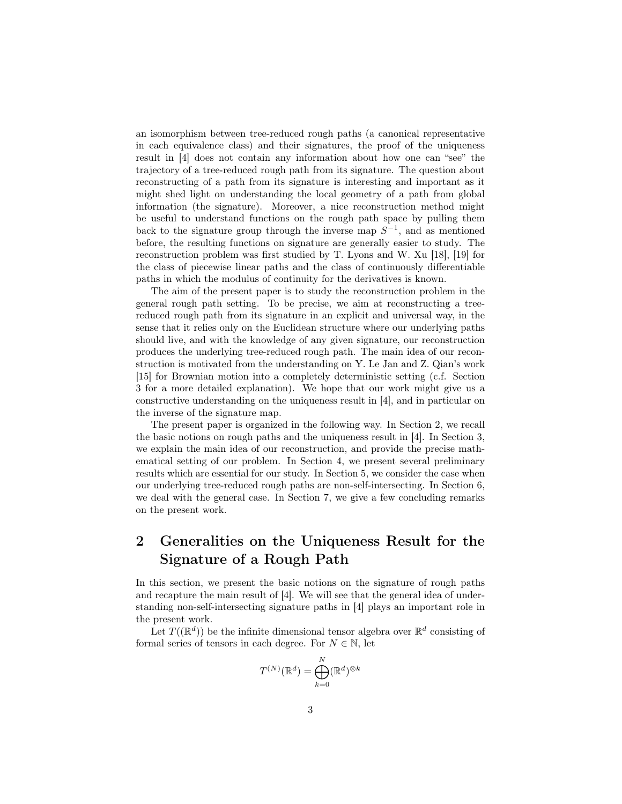an isomorphism between tree-reduced rough paths (a canonical representative in each equivalence class) and their signatures, the proof of the uniqueness result in [4] does not contain any information about how one can "see" the trajectory of a tree-reduced rough path from its signature. The question about reconstructing of a path from its signature is interesting and important as it might shed light on understanding the local geometry of a path from global information (the signature). Moreover, a nice reconstruction method might be useful to understand functions on the rough path space by pulling them back to the signature group through the inverse map  $S^{-1}$ , and as mentioned before, the resulting functions on signature are generally easier to study. The reconstruction problem was first studied by T. Lyons and W. Xu [18], [19] for the class of piecewise linear paths and the class of continuously differentiable paths in which the modulus of continuity for the derivatives is known.

The aim of the present paper is to study the reconstruction problem in the general rough path setting. To be precise, we aim at reconstructing a treereduced rough path from its signature in an explicit and universal way, in the sense that it relies only on the Euclidean structure where our underlying paths should live, and with the knowledge of any given signature, our reconstruction produces the underlying tree-reduced rough path. The main idea of our reconstruction is motivated from the understanding on Y. Le Jan and Z. Qian's work [15] for Brownian motion into a completely deterministic setting (c.f. Section 3 for a more detailed explanation). We hope that our work might give us a constructive understanding on the uniqueness result in [4], and in particular on the inverse of the signature map.

The present paper is organized in the following way. In Section 2, we recall the basic notions on rough paths and the uniqueness result in [4]. In Section 3, we explain the main idea of our reconstruction, and provide the precise mathematical setting of our problem. In Section 4, we present several preliminary results which are essential for our study. In Section 5, we consider the case when our underlying tree-reduced rough paths are non-self-intersecting. In Section 6, we deal with the general case. In Section 7, we give a few concluding remarks on the present work.

# 2 Generalities on the Uniqueness Result for the Signature of a Rough Path

In this section, we present the basic notions on the signature of rough paths and recapture the main result of [4]. We will see that the general idea of understanding non-self-intersecting signature paths in [4] plays an important role in the present work.

Let  $T((\mathbb{R}^d))$  be the infinite dimensional tensor algebra over  $\mathbb{R}^d$  consisting of formal series of tensors in each degree. For  $N \in \mathbb{N}$ , let

$$
T^{(N)}(\mathbb{R}^d) = \bigoplus_{k=0}^N (\mathbb{R}^d)^{\otimes k}
$$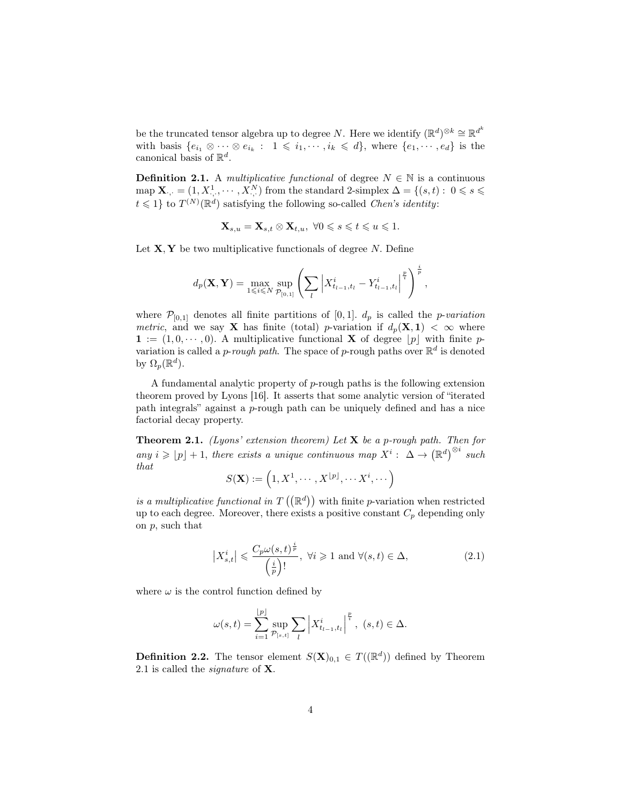be the truncated tensor algebra up to degree N. Here we identify  $(\mathbb{R}^d)^{\otimes k} \cong \mathbb{R}^{d^k}$ with basis  $\{e_{i_1} \otimes \cdots \otimes e_{i_k} : 1 \leq i_1, \cdots, i_k \leq d\}$ , where  $\{e_1, \cdots, e_d\}$  is the canonical basis of  $\mathbb{R}^d$ .

**Definition 2.1.** A *multiplicative functional* of degree  $N \in \mathbb{N}$  is a continuous map  $\mathbf{X}_{\cdot,\cdot} = (1, X_{\cdot,\cdot}^1, \cdots, X_{\cdot,\cdot}^N)$  from the standard 2-simplex  $\Delta = \{(s,t): 0 \leqslant s \leqslant$  $t \leq 1$  to  $T^{(N)}(\mathbb{R}^d)$  satisfying the following so-called *Chen's identity*:

$$
\mathbf{X}_{s,u} = \mathbf{X}_{s,t} \otimes \mathbf{X}_{t,u}, \ \forall 0 \leqslant s \leqslant t \leqslant u \leqslant 1.
$$

Let  $X, Y$  be two multiplicative functionals of degree N. Define

$$
d_p(\mathbf{X}, \mathbf{Y}) = \max_{1 \le i \le N} \sup_{\mathcal{P}_{[0,1]}} \left( \sum_l \left| X_{t_{l-1}, t_l}^i - Y_{t_{l-1}, t_l}^i \right|^{\frac{p}{i}} \right)^{\frac{i}{p}}
$$

,

where  $\mathcal{P}_{[0,1]}$  denotes all finite partitions of [0,1].  $d_p$  is called the *p-variation* metric, and we say **X** has finite (total) p-variation if  $d_p(\mathbf{X}, 1) < \infty$  where  $\mathbf{1} := (1, 0, \dots, 0)$ . A multiplicative functional **X** of degree  $|p|$  with finite pvariation is called a *p-rough path*. The space of *p*-rough paths over  $\mathbb{R}^d$  is denoted by  $\Omega_p(\mathbb{R}^d)$ .

A fundamental analytic property of p-rough paths is the following extension theorem proved by Lyons [16]. It asserts that some analytic version of "iterated path integrals" against a p-rough path can be uniquely defined and has a nice factorial decay property.

**Theorem 2.1.** (Lyons' extension theorem) Let  $X$  be a p-rough path. Then for any  $i \geqslant |p| + 1$ , there exists a unique continuous map  $X^i : \Delta \to (\mathbb{R}^d)^{\otimes i}$  such that

$$
S(\mathbf{X}) := \left(1, X^1, \cdots, X^{\lfloor p \rfloor}, \cdots, X^i, \cdots\right)
$$

is a multiplicative functional in  $T((\mathbb{R}^d))$  with finite p-variation when restricted up to each degree. Moreover, there exists a positive constant  $C_p$  depending only on  $p$ , such that

$$
\left| X_{s,t}^{i} \right| \leqslant \frac{C_p \omega(s,t)^{\frac{i}{p}}}{\left(\frac{i}{p}\right)!}, \ \forall i \geqslant 1 \ \text{and} \ \forall (s,t) \in \Delta,\tag{2.1}
$$

where  $\omega$  is the control function defined by

$$
\omega(s,t) = \sum_{i=1}^{\lfloor p \rfloor} \sup_{\mathcal{P}_{[s,t]}} \sum_{l} \left| X_{t_{l-1},t_l}^i \right|^{\frac{p}{i}}, \ (s,t) \in \Delta.
$$

**Definition 2.2.** The tensor element  $S(\mathbf{X})_{0,1} \in T((\mathbb{R}^d))$  defined by Theorem 2.1 is called the signature of X.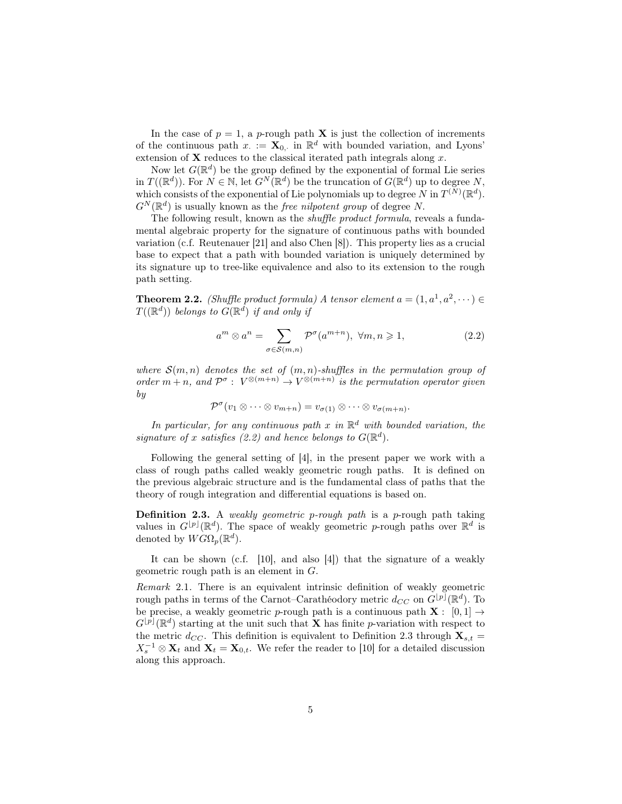In the case of  $p = 1$ , a p-rough path **X** is just the collection of increments of the continuous path  $x := \mathbf{X}_{0}$ , in  $\mathbb{R}^{d}$  with bounded variation, and Lyons' extension of  $X$  reduces to the classical iterated path integrals along  $x$ .

Now let  $G(\mathbb{R}^d)$  be the group defined by the exponential of formal Lie series in  $T((\mathbb{R}^d))$ . For  $N \in \mathbb{N}$ , let  $G^N(\mathbb{R}^d)$  be the truncation of  $G(\mathbb{R}^d)$  up to degree N, which consists of the exponential of Lie polynomials up to degree N in  $T^{(N)}(\mathbb{R}^d)$ .  $G^N(\mathbb{R}^d)$  is usually known as the *free nilpotent group* of degree N.

The following result, known as the *shuffle product formula*, reveals a fundamental algebraic property for the signature of continuous paths with bounded variation (c.f. Reutenauer [21] and also Chen [8]). This property lies as a crucial base to expect that a path with bounded variation is uniquely determined by its signature up to tree-like equivalence and also to its extension to the rough path setting.

**Theorem 2.2.** (Shuffle product formula) A tensor element  $a = (1, a^1, a^2, \dots)$  $T((\mathbb{R}^d))$  belongs to  $G(\mathbb{R}^d)$  if and only if

$$
a^m \otimes a^n = \sum_{\sigma \in \mathcal{S}(m,n)} \mathcal{P}^{\sigma}(a^{m+n}), \ \forall m, n \geqslant 1,
$$
 (2.2)

where  $S(m, n)$  denotes the set of  $(m, n)$ -shuffles in the permutation group of order  $m + n$ , and  $\mathcal{P}^{\sigma}: V^{\otimes (m+n)} \to V^{\otimes (m+n)}$  is the permutation operator given by

$$
\mathcal{P}^{\sigma}(v_1 \otimes \cdots \otimes v_{m+n}) = v_{\sigma(1)} \otimes \cdots \otimes v_{\sigma(m+n)}.
$$

In particular, for any continuous path x in  $\mathbb{R}^d$  with bounded variation, the signature of x satisfies (2.2) and hence belongs to  $G(\mathbb{R}^d)$ .

Following the general setting of [4], in the present paper we work with a class of rough paths called weakly geometric rough paths. It is defined on the previous algebraic structure and is the fundamental class of paths that the theory of rough integration and differential equations is based on.

**Definition 2.3.** A weakly geometric p-rough path is a p-rough path taking values in  $G^{[p]}(\mathbb{R}^d)$ . The space of weakly geometric p-rough paths over  $\mathbb{R}^d$  is denoted by  $\widehat{W} \widehat{G} \Omega_p(\mathbb{R}^d)$ .

It can be shown (c.f. [10], and also [4]) that the signature of a weakly geometric rough path is an element in G.

Remark 2.1. There is an equivalent intrinsic definition of weakly geometric rough paths in terms of the Carnot–Carathéodory metric  $d_{CC}$  on  $G^{[p]}(\mathbb{R}^d)$ . To be precise, a weakly geometric p-rough path is a continuous path  $X: [0,1] \rightarrow$  $G^{[p]}(\mathbb{R}^d)$  starting at the unit such that **X** has finite p-variation with respect to the metric  $d_{CC}$ . This definition is equivalent to Definition 2.3 through  $\mathbf{X}_{s,t} =$  $X_s^{-1} \otimes \mathbf{X}_t$  and  $\mathbf{X}_t = \mathbf{X}_{0,t}$ . We refer the reader to [10] for a detailed discussion along this approach.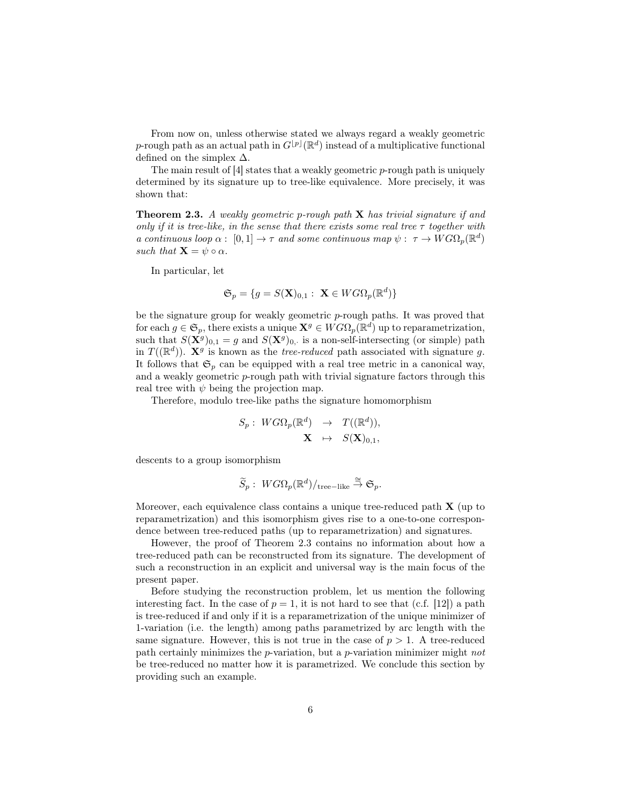From now on, unless otherwise stated we always regard a weakly geometric p-rough path as an actual path in  $G^{[p]}(\mathbb{R}^d)$  instead of a multiplicative functional defined on the simplex  $\Delta$ .

The main result of  $[4]$  states that a weakly geometric p-rough path is uniquely determined by its signature up to tree-like equivalence. More precisely, it was shown that:

**Theorem 2.3.** A weakly geometric p-rough path  $X$  has trivial signature if and only if it is tree-like, in the sense that there exists some real tree  $\tau$  together with a continuous loop  $\alpha: [0,1] \to \tau$  and some continuous map  $\psi: \tau \to WG\Omega_p(\mathbb{R}^d)$ such that  $\mathbf{X} = \psi \circ \alpha$ .

In particular, let

$$
\mathfrak{S}_p = \{ g = S(\mathbf{X})_{0,1} : \ \mathbf{X} \in WG\Omega_p(\mathbb{R}^d) \}
$$

be the signature group for weakly geometric p-rough paths. It was proved that for each  $g \in \mathfrak{S}_p$ , there exists a unique  $\mathbf{X}^g \in WG\Omega_p(\mathbb{R}^d)$  up to reparametrization, such that  $S(\mathbf{X}^g)_{0,1} = g$  and  $S(\mathbf{X}^g)_{0,1}$  is a non-self-intersecting (or simple) path in  $T((\mathbb{R}^d))$ .  $\mathbf{X}^g$  is known as the *tree-reduced* path associated with signature g. It follows that  $\mathfrak{S}_p$  can be equipped with a real tree metric in a canonical way, and a weakly geometric p-rough path with trivial signature factors through this real tree with  $\psi$  being the projection map.

Therefore, modulo tree-like paths the signature homomorphism

$$
S_p: \ WG\Omega_p(\mathbb{R}^d) \rightarrow T((\mathbb{R}^d)),
$$

$$
\mathbf{X} \mapsto S(\mathbf{X})_{0,1},
$$

descents to a group isomorphism

$$
\widetilde{S}_p:\ W G\Omega_p ({\mathbb R}^d)/_{\rm tree-like} \stackrel{\cong}{\to} \mathfrak{S}_p.
$$

Moreover, each equivalence class contains a unique tree-reduced path  $X$  (up to reparametrization) and this isomorphism gives rise to a one-to-one correspondence between tree-reduced paths (up to reparametrization) and signatures.

However, the proof of Theorem 2.3 contains no information about how a tree-reduced path can be reconstructed from its signature. The development of such a reconstruction in an explicit and universal way is the main focus of the present paper.

Before studying the reconstruction problem, let us mention the following interesting fact. In the case of  $p = 1$ , it is not hard to see that (c.f. [12]) a path is tree-reduced if and only if it is a reparametrization of the unique minimizer of 1-variation (i.e. the length) among paths parametrized by arc length with the same signature. However, this is not true in the case of  $p > 1$ . A tree-reduced path certainly minimizes the p-variation, but a p-variation minimizer might not be tree-reduced no matter how it is parametrized. We conclude this section by providing such an example.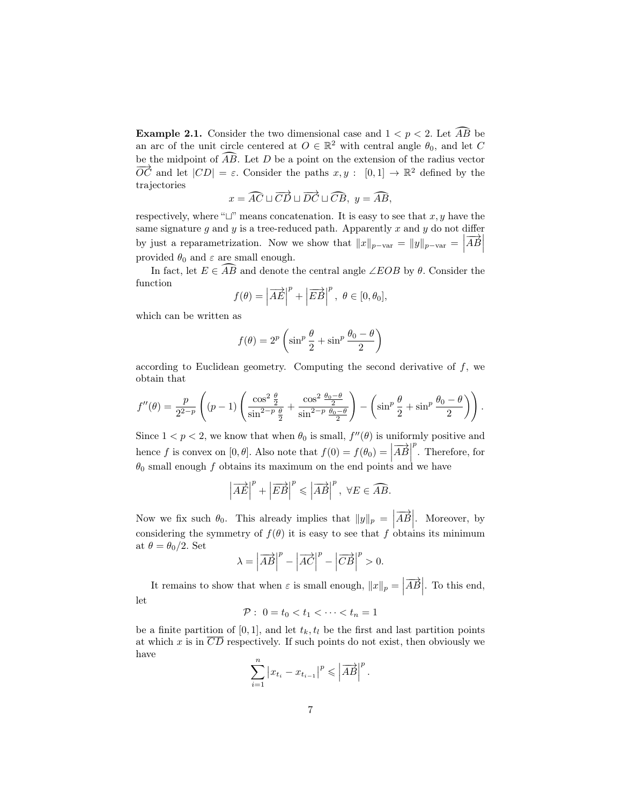**Example 2.1.** Consider the two dimensional case and  $1 < p < 2$ . Let  $\widehat{AB}$  be an arc of the unit circle centered at  $O \in \mathbb{R}^2$  with central angle  $\theta_0$ , and let C be the midpoint of  $\widehat{AB}$ . Let D be a point on the extension of the radius vector  $\overrightarrow{OC}$  and let  $|CD| = \varepsilon$ . Consider the paths  $x, y : [0, 1] \rightarrow \mathbb{R}^2$  defined by the trajectories

$$
x = \widehat{AC} \sqcup \overrightarrow{CD} \sqcup \overrightarrow{DC} \sqcup \widehat{CB}, y = \widehat{AB},
$$

respectively, where " $\sqcup$ " means concatenation. It is easy to see that x, y have the same signature  $g$  and  $y$  is a tree-reduced path. Apparently  $x$  and  $y$  do not differ by just a reparametrization. Now we show that  $||x||_{p-\text{var}} = ||y||_{p-\text{var}} = |\overrightarrow{AB}|$ provided  $\theta_0$  and  $\varepsilon$  are small enough.

In fact, let  $E \in \widehat{AB}$  and denote the central angle ∠EOB by  $\theta$ . Consider the function

$$
f(\theta) = \left| \overrightarrow{AE} \right|^p + \left| \overrightarrow{EB} \right|^p, \ \theta \in [0, \theta_0],
$$

which can be written as

$$
f(\theta) = 2^p \left( \sin^p \frac{\theta}{2} + \sin^p \frac{\theta_0 - \theta}{2} \right)
$$

according to Euclidean geometry. Computing the second derivative of  $f$ , we obtain that

$$
f''(\theta) = \frac{p}{2^{2-p}} \left( (p-1) \left( \frac{\cos^2 \frac{\theta}{2}}{\sin^{2-p} \frac{\theta}{2}} + \frac{\cos^2 \frac{\theta_0 - \theta}{2}}{\sin^{2-p} \frac{\theta_0 - \theta}{2}} \right) - \left( \sin^p \frac{\theta}{2} + \sin^p \frac{\theta_0 - \theta}{2} \right) \right).
$$

Since  $1 < p < 2$ , we know that when  $\theta_0$  is small,  $f''(\theta)$  is uniformly positive and hence f is convex on  $[0, \theta]$ . Also note that  $f(0) = f(\theta_0) = |\overrightarrow{AB}|$  $\theta_0$  small enough f obtains its maximum on the end points and we have  $\sum_{p=1}^{p}$ . Therefore, for

$$
\left|\overrightarrow{AE}\right|^p + \left|\overrightarrow{EB}\right|^p \le \left|\overrightarrow{AB}\right|^p, \ \forall E \in \widehat{AB}.
$$

Now we fix such  $\theta_0$ . This already implies that  $||y||_p = \left| \overrightarrow{AB} \right|$ . Moreover, by considering the symmetry of  $f(\theta)$  it is easy to see that f obtains its minimum at  $\theta = \theta_0/2$ . Set

$$
\lambda = \left| \overrightarrow{AB} \right|^p - \left| \overrightarrow{AC} \right|^p - \left| \overrightarrow{CB} \right|^p > 0.
$$

It remains to show that when  $\varepsilon$  is small enough,  $||x||_p = \left| \overrightarrow{AB} \right|$ . To this end, let

$$
\mathcal{P}: \ 0 = t_0 < t_1 < \cdots < t_n = 1
$$

be a finite partition of [0, 1], and let  $t_k$ ,  $t_l$  be the first and last partition points at which x is in  $\overline{CD}$  respectively. If such points do not exist, then obviously we have

$$
\sum_{i=1}^{n} \left| x_{t_i} - x_{t_{i-1}} \right|^p \leqslant \left| \overrightarrow{AB} \right|^p.
$$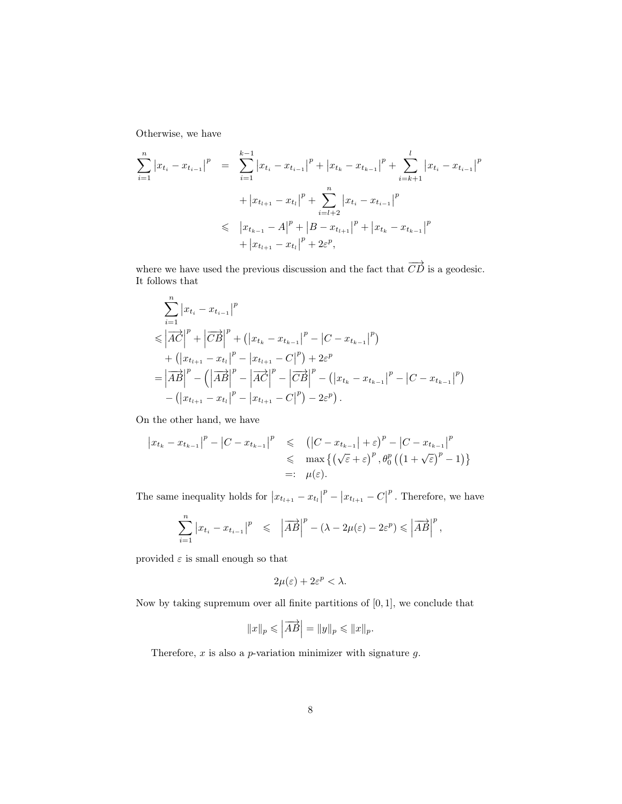Otherwise, we have

$$
\sum_{i=1}^{n} |x_{t_i} - x_{t_{i-1}}|^p = \sum_{i=1}^{k-1} |x_{t_i} - x_{t_{i-1}}|^p + |x_{t_k} - x_{t_{k-1}}|^p + \sum_{i=k+1}^{l} |x_{t_i} - x_{t_{i-1}}|^p
$$
  
+  $|x_{t_{l+1}} - x_{t_l}|^p + \sum_{i=l+2}^{n} |x_{t_i} - x_{t_{i-1}}|^p$   

$$
\leq |x_{t_{k-1}} - A|^p + |B - x_{t_{l+1}}|^p + |x_{t_k} - x_{t_{k-1}}|^p
$$
  
+  $|x_{t_{l+1}} - x_{t_l}|^p + 2\varepsilon^p$ ,

where we have used the previous discussion and the fact that  $\overrightarrow{CD}$  is a geodesic. It follows that

$$
\sum_{i=1}^{n} |x_{t_i} - x_{t_{i-1}}|^p
$$
\n
$$
\leq |AC|^p + |CB|^p + (|x_{t_k} - x_{t_{k-1}}|^p - |C - x_{t_{k-1}}|^p)
$$
\n
$$
+ (|x_{t_{l+1}} - x_{t_l}|^p - |x_{t_{l+1}} - C|^p) + 2\varepsilon^p
$$
\n
$$
= |AB|^p - (|AB|^p - |AC|^p - |CB|^p - (|x_{t_k} - x_{t_{k-1}}|^p - |C - x_{t_{k-1}}|^p)
$$
\n
$$
- (|x_{t_{l+1}} - x_{t_l}|^p - |x_{t_{l+1}} - C|^p) - 2\varepsilon^p).
$$

On the other hand, we have

$$
\begin{aligned} \left| x_{t_k} - x_{t_{k-1}} \right|^p &- \left| C - x_{t_{k-1}} \right|^p &\leqslant & \left( \left| C - x_{t_{k-1}} \right| + \varepsilon \right)^p - \left| C - x_{t_{k-1}} \right|^p \\ &\leqslant & \max \left\{ \left( \sqrt{\varepsilon} + \varepsilon \right)^p, \theta_0^p \left( \left( 1 + \sqrt{\varepsilon} \right)^p - 1 \right) \right\} \\ &=: & \mu(\varepsilon). \end{aligned}
$$

The same inequality holds for  $|x_{t_{l+1}} - x_{t_l}|$  $\left| x_{t_{l+1}} - C \right|$  $^{p}$ . Therefore, we have

$$
\sum_{i=1}^n \left| x_{t_i} - x_{t_{i-1}} \right|^p \leqslant \left| \overrightarrow{AB} \right|^p - \left( \lambda - 2\mu(\varepsilon) - 2\varepsilon^p \right) \leqslant \left| \overrightarrow{AB} \right|^p,
$$

provided  $\varepsilon$  is small enough so that

$$
2\mu(\varepsilon) + 2\varepsilon^p < \lambda.
$$

Now by taking supremum over all finite partitions of [0, 1], we conclude that

$$
||x||_p \leqslant \left| \overrightarrow{AB} \right| = ||y||_p \leqslant ||x||_p.
$$

Therefore,  $x$  is also a  $p$ -variation minimizer with signature  $g$ .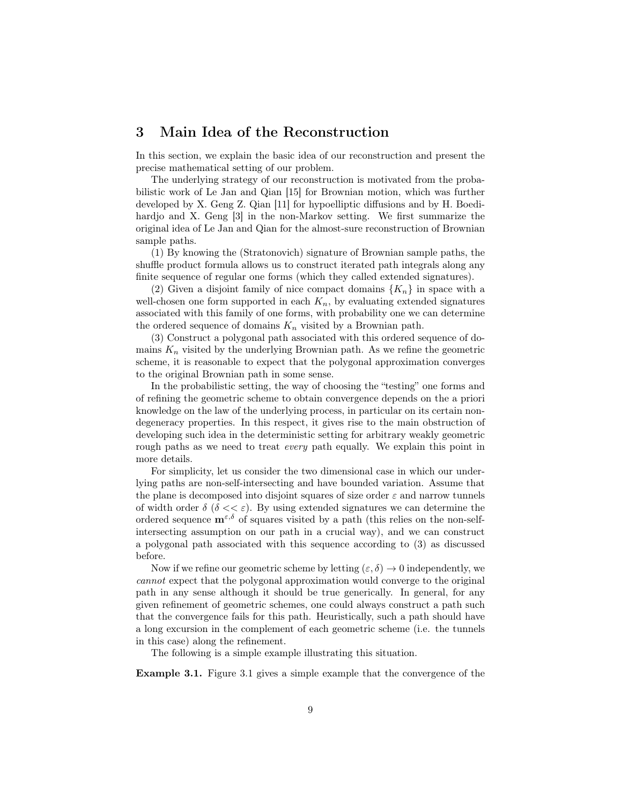# 3 Main Idea of the Reconstruction

In this section, we explain the basic idea of our reconstruction and present the precise mathematical setting of our problem.

The underlying strategy of our reconstruction is motivated from the probabilistic work of Le Jan and Qian [15] for Brownian motion, which was further developed by X. Geng Z. Qian [11] for hypoelliptic diffusions and by H. Boedihardjo and X. Geng [3] in the non-Markov setting. We first summarize the original idea of Le Jan and Qian for the almost-sure reconstruction of Brownian sample paths.

(1) By knowing the (Stratonovich) signature of Brownian sample paths, the shuffle product formula allows us to construct iterated path integrals along any finite sequence of regular one forms (which they called extended signatures).

(2) Given a disjoint family of nice compact domains  ${K_n}$  in space with a well-chosen one form supported in each  $K_n$ , by evaluating extended signatures associated with this family of one forms, with probability one we can determine the ordered sequence of domains  $K_n$  visited by a Brownian path.

(3) Construct a polygonal path associated with this ordered sequence of domains  $K_n$  visited by the underlying Brownian path. As we refine the geometric scheme, it is reasonable to expect that the polygonal approximation converges to the original Brownian path in some sense.

In the probabilistic setting, the way of choosing the "testing" one forms and of refining the geometric scheme to obtain convergence depends on the a priori knowledge on the law of the underlying process, in particular on its certain nondegeneracy properties. In this respect, it gives rise to the main obstruction of developing such idea in the deterministic setting for arbitrary weakly geometric rough paths as we need to treat *every* path equally. We explain this point in more details.

For simplicity, let us consider the two dimensional case in which our underlying paths are non-self-intersecting and have bounded variation. Assume that the plane is decomposed into disjoint squares of size order  $\varepsilon$  and narrow tunnels of width order  $\delta$  ( $\delta \ll \varepsilon$ ). By using extended signatures we can determine the ordered sequence  $\mathbf{m}^{\varepsilon,\delta}$  of squares visited by a path (this relies on the non-selfintersecting assumption on our path in a crucial way), and we can construct a polygonal path associated with this sequence according to (3) as discussed before.

Now if we refine our geometric scheme by letting  $(\varepsilon, \delta) \to 0$  independently, we cannot expect that the polygonal approximation would converge to the original path in any sense although it should be true generically. In general, for any given refinement of geometric schemes, one could always construct a path such that the convergence fails for this path. Heuristically, such a path should have a long excursion in the complement of each geometric scheme (i.e. the tunnels in this case) along the refinement.

The following is a simple example illustrating this situation.

Example 3.1. Figure 3.1 gives a simple example that the convergence of the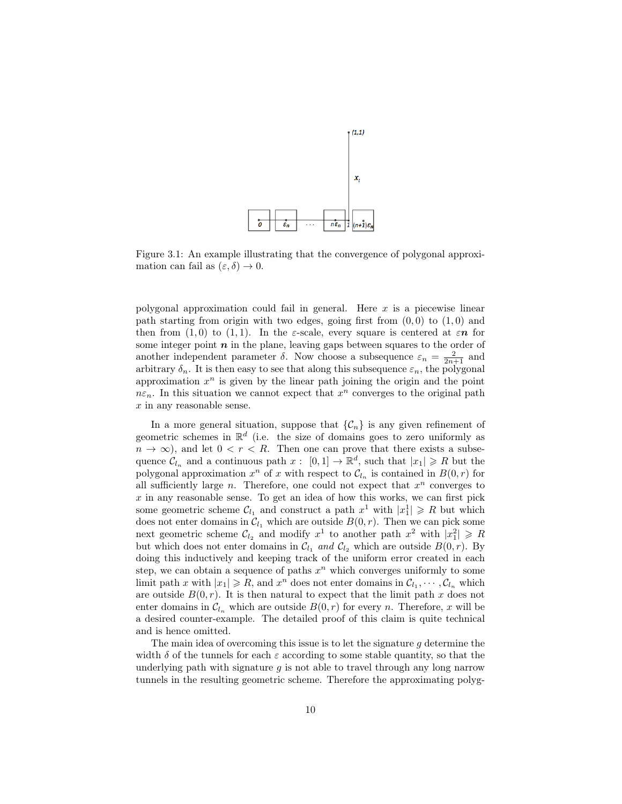

Figure 3.1: An example illustrating that the convergence of polygonal approximation can fail as  $(\varepsilon, \delta) \to 0$ .

polygonal approximation could fail in general. Here  $x$  is a piecewise linear path starting from origin with two edges, going first from  $(0, 0)$  to  $(1, 0)$  and then from  $(1,0)$  to  $(1,1)$ . In the *ε*-scale, every square is centered at  $\varepsilon n$  for some integer point  $n$  in the plane, leaving gaps between squares to the order of another independent parameter  $\delta$ . Now choose a subsequence  $\varepsilon_n = \frac{2}{2n+1}$  and arbitrary  $\delta_n$ . It is then easy to see that along this subsequence  $\varepsilon_n$ , the polygonal approximation  $x^n$  is given by the linear path joining the origin and the point  $n\varepsilon_n$ . In this situation we cannot expect that  $x^n$  converges to the original path x in any reasonable sense.

In a more general situation, suppose that  $\{\mathcal{C}_n\}$  is any given refinement of geometric schemes in  $\mathbb{R}^d$  (i.e. the size of domains goes to zero uniformly as  $n \to \infty$ , and let  $0 < r < R$ . Then one can prove that there exists a subsequence  $\mathcal{C}_{l_n}$  and a continuous path  $x: [0,1] \to \mathbb{R}^d$ , such that  $|x_1| \geq R$  but the polygonal approximation  $x^n$  of x with respect to  $\mathcal{C}_{l_n}$  is contained in  $B(0,r)$  for all sufficiently large  $n$ . Therefore, one could not expect that  $x^n$  converges to  $x$  in any reasonable sense. To get an idea of how this works, we can first pick some geometric scheme  $\mathcal{C}_{l_1}$  and construct a path  $x^1$  with  $|x_1^1| \geq R$  but which does not enter domains in  $\mathcal{C}_{l_1}$  which are outside  $B(0, r)$ . Then we can pick some next geometric scheme  $\mathcal{C}_{l_2}$  and modify  $x^1$  to another path  $x^2$  with  $|x_1^2| \geq R$ but which does not enter domains in  $C_{l_1}$  and  $C_{l_2}$  which are outside  $B(0, r)$ . By doing this inductively and keeping track of the uniform error created in each step, we can obtain a sequence of paths  $x^n$  which converges uniformly to some limit path x with  $|x_1| \ge R$ , and  $x^n$  does not enter domains in  $\mathcal{C}_{l_1}, \cdots, \mathcal{C}_{l_n}$  which are outside  $B(0,r)$ . It is then natural to expect that the limit path x does not enter domains in  $\mathcal{C}_{l_n}$  which are outside  $B(0, r)$  for every n. Therefore, x will be a desired counter-example. The detailed proof of this claim is quite technical and is hence omitted.

The main idea of overcoming this issue is to let the signature  $q$  determine the width  $\delta$  of the tunnels for each  $\varepsilon$  according to some stable quantity, so that the underlying path with signature  $q$  is not able to travel through any long narrow tunnels in the resulting geometric scheme. Therefore the approximating polyg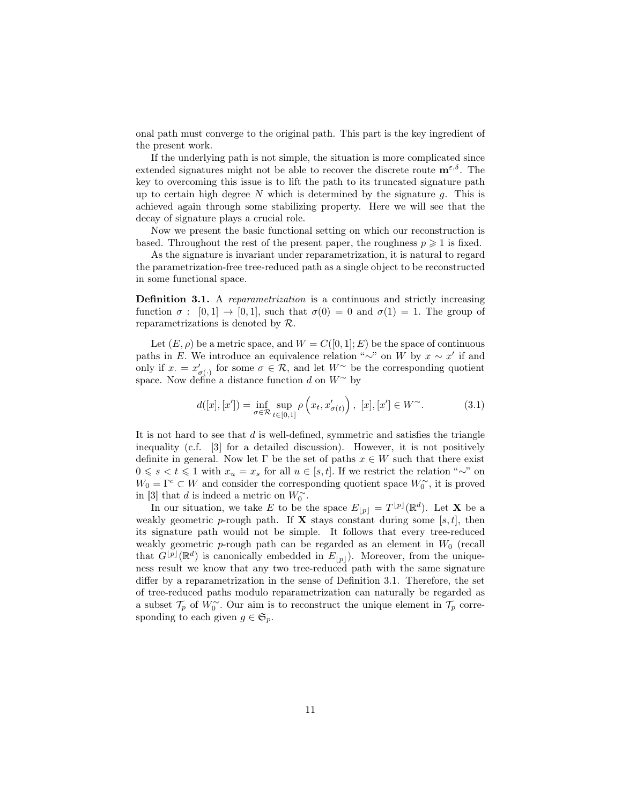onal path must converge to the original path. This part is the key ingredient of the present work.

If the underlying path is not simple, the situation is more complicated since extended signatures might not be able to recover the discrete route  $\mathbf{m}^{\varepsilon,\delta}$ . The key to overcoming this issue is to lift the path to its truncated signature path up to certain high degree  $N$  which is determined by the signature  $g$ . This is achieved again through some stabilizing property. Here we will see that the decay of signature plays a crucial role.

Now we present the basic functional setting on which our reconstruction is based. Throughout the rest of the present paper, the roughness  $p \geq 1$  is fixed.

As the signature is invariant under reparametrization, it is natural to regard the parametrization-free tree-reduced path as a single object to be reconstructed in some functional space.

Definition 3.1. A reparametrization is a continuous and strictly increasing function  $\sigma : [0,1] \to [0,1]$ , such that  $\sigma(0) = 0$  and  $\sigma(1) = 1$ . The group of reparametrizations is denoted by R.

Let  $(E, \rho)$  be a metric space, and  $W = C([0, 1]; E)$  be the space of continuous paths in E. We introduce an equivalence relation "∼" on W by  $x \sim x'$  if and only if  $x = x'_{\sigma(\cdot)}$  for some  $\sigma \in \mathcal{R}$ , and let  $W^{\sim}$  be the corresponding quotient space. Now define a distance function d on  $W^{\sim}$  by

$$
d([x],[x']) = \inf_{\sigma \in \mathcal{R}} \sup_{t \in [0,1]} \rho\left(x_t, x'_{\sigma(t)}\right), [x], [x'] \in W^{\sim}.
$$
 (3.1)

It is not hard to see that  $d$  is well-defined, symmetric and satisfies the triangle inequality (c.f. [3] for a detailed discussion). However, it is not positively definite in general. Now let  $\Gamma$  be the set of paths  $x \in W$  such that there exist  $0 \le s < t \le 1$  with  $x_u = x_s$  for all  $u \in [s, t]$ . If we restrict the relation "∼" on  $W_0 = \Gamma^c$  ⊂ W and consider the corresponding quotient space  $W_0^{\sim}$ , it is proved in [3] that d is indeed a metric on  $W_0^{\sim}$ .

In our situation, we take E to be the space  $E_{[p]} = T^{[p]}(\mathbb{R}^d)$ . Let **X** be a weakly geometric p-rough path. If **X** stays constant during some [s, t], then its signature path would not be simple. It follows that every tree-reduced weakly geometric p-rough path can be regarded as an element in  $W_0$  (recall that  $G^{[p]}(\mathbb{R}^d)$  is canonically embedded in  $E_{[p]}$ ). Moreover, from the uniqueness result we know that any two tree-reduced path with the same signature differ by a reparametrization in the sense of Definition 3.1. Therefore, the set of tree-reduced paths modulo reparametrization can naturally be regarded as a subset  $\mathcal{T}_p$  of  $W_0^{\sim}$ . Our aim is to reconstruct the unique element in  $\mathcal{T}_p$  corresponding to each given  $g \in \mathfrak{S}_p$ .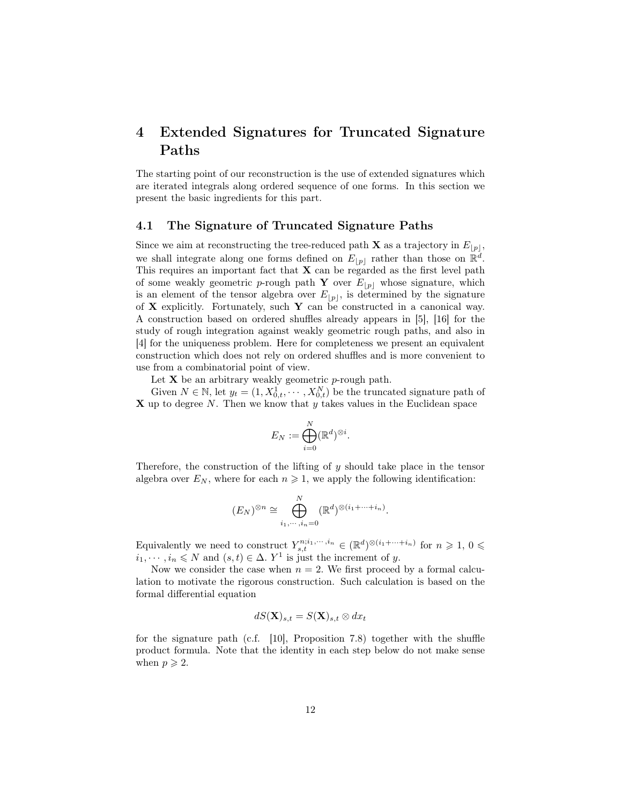# 4 Extended Signatures for Truncated Signature Paths

The starting point of our reconstruction is the use of extended signatures which are iterated integrals along ordered sequence of one forms. In this section we present the basic ingredients for this part.

#### 4.1 The Signature of Truncated Signature Paths

Since we aim at reconstructing the tree-reduced path **X** as a trajectory in  $E_{|p|}$ , we shall integrate along one forms defined on  $E_{[p]}$  rather than those on  $\mathbb{R}^d$ . This requires an important fact that  $X$  can be regarded as the first level path of some weakly geometric p-rough path Y over  $E_{[p]}$  whose signature, which is an element of the tensor algebra over  $E_{\lfloor p \rfloor}$ , is determined by the signature of X explicitly. Fortunately, such Y can be constructed in a canonical way. A construction based on ordered shuffles already appears in [5], [16] for the study of rough integration against weakly geometric rough paths, and also in [4] for the uniqueness problem. Here for completeness we present an equivalent construction which does not rely on ordered shuffles and is more convenient to use from a combinatorial point of view.

Let  $X$  be an arbitrary weakly geometric  $p$ -rough path.

Given  $N \in \mathbb{N}$ , let  $y_t = (1, X_{0,t}^1, \dots, X_{0,t}^N)$  be the truncated signature path of  $X$  up to degree N. Then we know that  $y$  takes values in the Euclidean space

$$
E_N := \bigoplus_{i=0}^N (\mathbb{R}^d)^{\otimes i}.
$$

Therefore, the construction of the lifting of  $y$  should take place in the tensor algebra over  $E_N$ , where for each  $n \geq 1$ , we apply the following identification:

$$
(E_N)^{\otimes n} \cong \bigoplus_{i_1,\cdots,i_n=0}^N (\mathbb{R}^d)^{\otimes (i_1+\cdots+i_n)}.
$$

Equivalently we need to construct  $Y_{s,t}^{n;i_1,\dots,i_n} \in (\mathbb{R}^d)^{\otimes (i_1+\dots+i_n)}$  for  $n \geqslant 1, 0 \leqslant$  $i_1, \dots, i_n \leq N$  and  $(s, t) \in \Delta$ . Y<sup>1</sup> is just the increment of y.

Now we consider the case when  $n = 2$ . We first proceed by a formal calculation to motivate the rigorous construction. Such calculation is based on the formal differential equation

$$
dS(\mathbf{X})_{s,t} = S(\mathbf{X})_{s,t} \otimes dx_t
$$

for the signature path (c.f. [10], Proposition 7.8) together with the shuffle product formula. Note that the identity in each step below do not make sense when  $p \geqslant 2$ .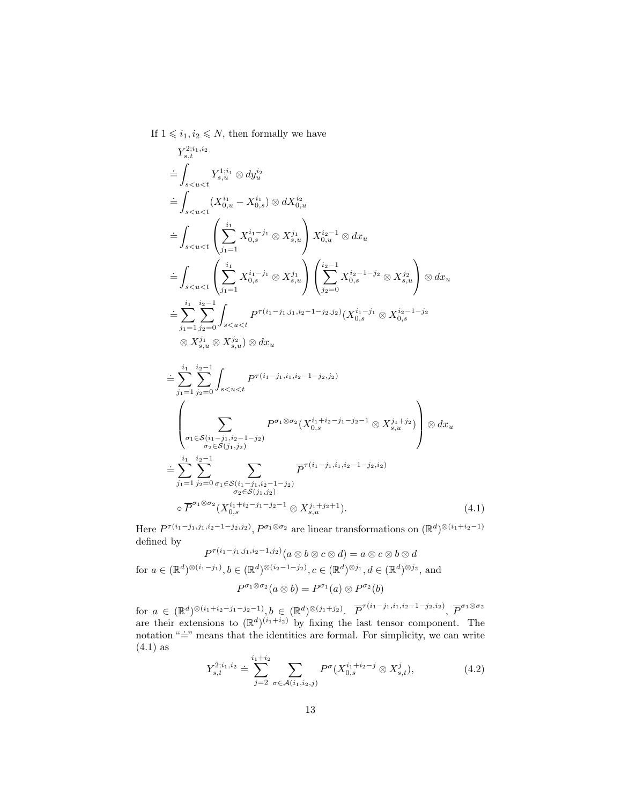If  $1 \leq i_1, i_2 \leq N$ , then formally we have

$$
Y_{s,t}^{2i_1,i_2} = \int_{s < u < t} Y_{s,u}^{1;i_1} \otimes dy_u^{i_2}
$$
  
\n
$$
= \int_{s < u < t} (X_{0,u}^{i_1} - X_{0,s}^{i_1}) \otimes dX_{0,u}^{i_2}
$$
  
\n
$$
= \int_{s < u < t} \left( \sum_{j_1=1}^{i_1} X_{0,s}^{i_1-j_1} \otimes X_{s,u}^{j_1} \right) X_{0,u}^{i_2-1} \otimes dx_u
$$
  
\n
$$
= \int_{s < u < t} \left( \sum_{j_1=1}^{i_1} X_{0,s}^{i_1-j_1} \otimes X_{s,u}^{j_1} \right) \left( \sum_{j_2=0}^{i_2-1} X_{0,s}^{i_2-1-j_2} \otimes X_{s,u}^{j_2} \right) \otimes dx_u
$$
  
\n
$$
= \sum_{j_1=1}^{i_1} \sum_{j_2=0}^{i_2-1} \int_{s < u < t} P^{\tau(i_1-j_1,j_1,i_2-1-j_2,j_2)}(X_{0,s}^{i_1-j_1} \otimes X_{0,s}^{i_2-1-j_2}
$$
  
\n
$$
\otimes X_{s,u}^{j_1} \otimes X_{s,u}^{j_2}) \otimes dx_u
$$
  
\n
$$
= \sum_{j_1=1}^{i_1} \sum_{j_2=0}^{i_2-1} \int_{s < u < t} P^{\tau(i_1-j_1,i_1,i_2-1-j_2,j_2)}
$$
  
\n
$$
\int_{\sigma_1 \in S(i_1-j_1,i_2-1-j_2)} P^{\sigma_1 \otimes \sigma_2}(X_{0,s}^{i_1+i_2-j_1-j_2-1} \otimes X_{s,u}^{j_1+j_2}) \otimes dx_u
$$
  
\n
$$
= \sum_{j_1=1}^{i_1} \sum_{j_2=0}^{i_2-1} \int_{\sigma_1 \in S(i_1-j_1,i_2-1-j_2)} P^{\tau(i_1-j_1,i_1,i_2-1-j_2,i_2)}
$$
  
\n
$$
= \overline{P}^{\sigma_1 \otimes \sigma_2}(X_{0,s}^{i_
$$

Here  $P^{\tau(i_1-j_1,j_1,i_2-1-j_2,j_2)}$ ,  $P^{\sigma_1\otimes\sigma_2}$  are linear transformations on  $(\mathbb{R}^d)^{\otimes (i_1+i_2-1)}$ defined by

 $P^{\tau(i_1-j_1,j_1,i_2-1,j_2)}(a\otimes b\otimes c\otimes d)=a\otimes c\otimes b\otimes d$ for  $a \in (\mathbb{R}^d)^{\otimes (i_1 - j_1)}, b \in (\mathbb{R}^d)^{\otimes (i_2 - 1 - j_2)}, c \in (\mathbb{R}^d)^{\otimes j_1}, d \in (\mathbb{R}^d)^{\otimes j_2}$ , and  $P^{\sigma_1 \otimes \sigma_2}(a \otimes b) = P^{\sigma_1}(a) \otimes P^{\sigma_2}(b)$ 

for  $a \in (\mathbb{R}^d)^{\otimes (i_1+i_2-j_1-j_2-1)}, b \in (\mathbb{R}^d)^{\otimes (j_1+j_2)}$ .  $\overline{P}^{\tau(i_1-j_1,i_1,i_2-1-j_2,i_2)}, \overline{P}^{\sigma_1 \otimes \sigma_2}$ are their extensions to  $(\mathbb{R}^d)^{(i_1+i_2)}$  by fixing the last tensor component. The notation " $\dot{=}$ " means that the identities are formal. For simplicity, we can write  $(4.1)$  as

$$
Y_{s,t}^{2;i_1,i_2} \doteq \sum_{j=2}^{i_1+i_2} \sum_{\sigma \in \mathcal{A}(i_1,i_2,j)} P^{\sigma}(X_{0,s}^{i_1+i_2-j} \otimes X_{s,t}^j), \tag{4.2}
$$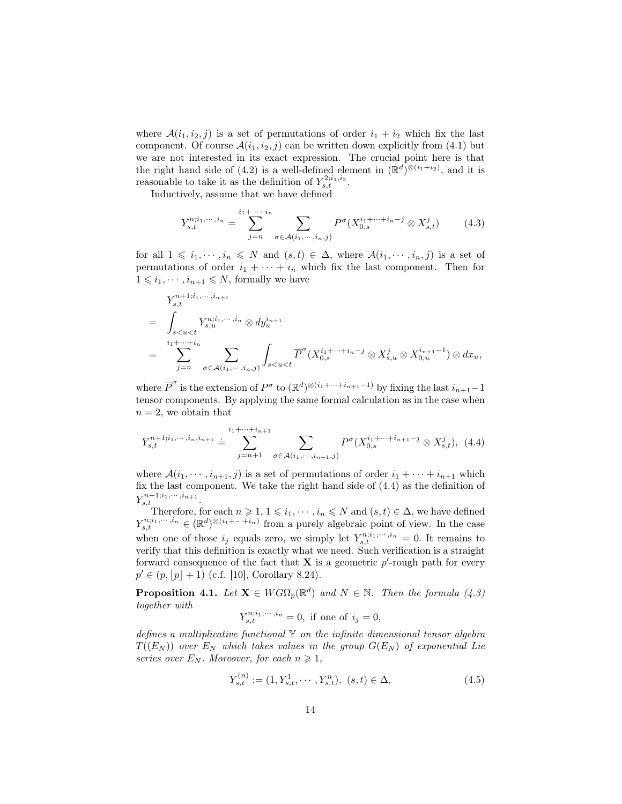where  $\mathcal{A}(i_1, i_2, j)$  is a set of permutations of order  $i_1 + i_2$  which fix the last component. Of course  $\mathcal{A}(i_1, i_2, j)$  can be written down explicitly from (4.1) but we are not interested in its exact expression. The crucial point here is that the right hand side of (4.2) is a well-defined element in  $(\mathbb{R}^d)^{\otimes (i_1+i_2)}$ , and it is reasonable to take it as the definition of  $Y_{s,t}^{2;i_1,i_2}$ .

Inductively, assume that we have defined

$$
Y_{s,t}^{n;i_1,\dots,i_n} = \sum_{j=n}^{i_1+\dots+i_n} \sum_{\sigma \in \mathcal{A}(i_1,\dots,i_n,j)} P^{\sigma}(X_{0,s}^{i_1+\dots+i_n-j} \otimes X_{s,t}^j)
$$
(4.3)

for all  $1 \leq i_1, \dots, i_n \leq N$  and  $(s, t) \in \Delta$ , where  $\mathcal{A}(i_1, \dots, i_n, j)$  is a set of permutations of order  $i_1 + \cdots + i_n$  which fix the last component. Then for  $1 \leq i_1, \cdots, i_{n+1} \leq N$ , formally we have

$$
Y_{s,t}^{n+1;i_1,\dots,i_{n+1}}
$$
\n
$$
= \int_{s\n
$$
= \sum_{j=n}^{i_1+\dots+i_n} \sum_{\sigma \in \mathcal{A}(i_1,\dots,i_n,j)} \int_{s
$$
$$

where  $\overline{P}^{\sigma}$  is the extension of  $P^{\sigma}$  to  $(\mathbb{R}^d)^{\otimes (i_1+\cdots+i_{n+1}-1)}$  by fixing the last  $i_{n+1}-1$ tensor components. By applying the same formal calculation as in the case when  $n = 2$ , we obtain that

$$
Y_{s,t}^{n+1;i_1,\dots,i_n,i_{n+1}} \doteq \sum_{j=n+1}^{i_1+\dots+i_{n+1}} \sum_{\sigma \in \mathcal{A}(i_1,\dots,i_{n+1},j)} P^{\sigma}(X_{0,s}^{i_1+\dots+i_{n+1}-j} \otimes X_{s,t}^j), \tag{4.4}
$$

where  $\mathcal{A}(i_1,\dots,i_{n+1},j)$  is a set of permutations of order  $i_1+\dots+i_{n+1}$  which fix the last component. We take the right hand side of (4.4) as the definition of  $Y_{s,t}^{n+1;i_1,\dots,i_{n+1}}.$ 

Therefore, for each  $n \geq 1, 1 \leq i_1, \dots, i_n \leq N$  and  $(s, t) \in \Delta$ , we have defined<br> $n_{i}i_1, \dots, i_n \in (\mathbb{R}^d) \otimes (i_1 + \dots + i_n)$  from a purely algebraic point of view. In the case  $Y_{s,t}^{n;i_1,\dots,i_n} \in (\mathbb{R}^d)^{\otimes (i_1+\dots+i_n)}$  from a purely algebraic point of view. In the case when one of those  $i_j$  equals zero, we simply let  $Y_{s,t}^{n;i_1,\dots,i_n} = 0$ . It remains to verify that this definition is exactly what we need. Such verification is a straight forward consequence of the fact that  $X$  is a geometric  $p'$ -rough path for every  $p' \in (p, |p| + 1)$  (c.f. [10], Corollary 8.24).

**Proposition 4.1.** Let  $X \in WG\Omega_p(\mathbb{R}^d)$  and  $N \in \mathbb{N}$ . Then the formula (4.3) together with

$$
Y_{s,t}^{n;i_1,\dots,i_n} = 0, \text{ if one of } i_j = 0,
$$

defines a multiplicative functional Y on the infinite dimensional tensor algebra  $T((E_N))$  over  $E_N$  which takes values in the group  $G(E_N)$  of exponential Lie series over  $E_N$ . Moreover, for each  $n \geq 1$ ,

$$
Y_{s,t}^{(n)} := (1, Y_{s,t}^1, \cdots, Y_{s,t}^n), \ (s,t) \in \Delta,\tag{4.5}
$$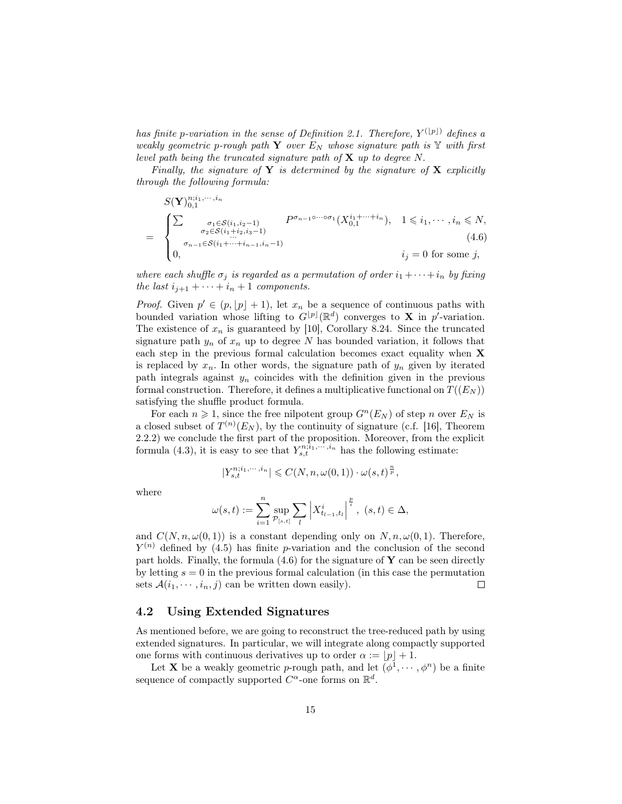has finite p-variation in the sense of Definition 2.1. Therefore,  $Y^{(\lfloor p\rfloor)}$  defines a weakly geometric p-rough path Y over  $E_N$  whose signature path is Y with first level path being the truncated signature path of  $X$  up to degree N.

Finally, the signature of Y is determined by the signature of X explicitly through the following formula:

$$
S(\mathbf{Y})_{0,1}^{n;i_1,\dots,i_n}
$$
\n
$$
= \begin{cases}\n\sum_{\substack{\sigma_1 \in S(i_1,i_2-1) \\ \sigma_2 \in S(i_1+i_2,i_3-1) \\ 0, \end{cases}} P^{\sigma_{n-1}\circ\cdots\circ\sigma_1}(X_{0,1}^{i_1+\cdots+i_n}), \quad 1 \le i_1,\cdots,i_n \le N,
$$
\n
$$
i_j = 0 \text{ for some } j,
$$
\n
$$
(4.6)
$$

where each shuffle  $\sigma_j$  is regarded as a permutation of order  $i_1 + \cdots + i_n$  by fixing the last  $i_{j+1} + \cdots + i_n + 1$  components.

*Proof.* Given  $p' \in (p, |p| + 1)$ , let  $x_n$  be a sequence of continuous paths with bounded variation whose lifting to  $G^{[p]}(\mathbb{R}^d)$  converges to **X** in p<sup>'</sup>-variation. The existence of  $x_n$  is guaranteed by [10], Corollary 8.24. Since the truncated signature path  $y_n$  of  $x_n$  up to degree N has bounded variation, it follows that each step in the previous formal calculation becomes exact equality when X is replaced by  $x_n$ . In other words, the signature path of  $y_n$  given by iterated path integrals against  $y_n$  coincides with the definition given in the previous formal construction. Therefore, it defines a multiplicative functional on  $T((E_N))$ satisfying the shuffle product formula.

For each  $n \geq 1$ , since the free nilpotent group  $G^n(E_N)$  of step n over  $E_N$  is a closed subset of  $T^{(n)}(E_N)$ , by the continuity of signature (c.f. [16], Theorem 2.2.2) we conclude the first part of the proposition. Moreover, from the explicit formula (4.3), it is easy to see that  $Y_{s,t}^{n;\tilde{i}_1,\cdots,\tilde{i}_n}$  has the following estimate:

$$
|Y^{n;i_1,\cdots, i_n}_{s,t}|\leqslant C(N,n,\omega(0,1))\cdot \omega(s,t)^{\frac{n}{p}},
$$

where

$$
\omega(s,t) := \sum_{i=1}^{n} \sup_{\mathcal{P}_{[s,t]}} \sum_{l} \left| X_{t_{l-1},t_l}^i \right|^{\frac{p}{i}}, \ (s,t) \in \Delta,
$$

and  $C(N, n, \omega(0, 1))$  is a constant depending only on  $N, n, \omega(0, 1)$ . Therefore,  $Y^{(n)}$  defined by (4.5) has finite p-variation and the conclusion of the second part holds. Finally, the formula  $(4.6)$  for the signature of Y can be seen directly by letting  $s = 0$  in the previous formal calculation (in this case the permutation sets  $\mathcal{A}(i_1, \dots, i_n, j)$  can be written down easily).  $\Box$ 

#### 4.2 Using Extended Signatures

As mentioned before, we are going to reconstruct the tree-reduced path by using extended signatures. In particular, we will integrate along compactly supported one forms with continuous derivatives up to order  $\alpha := |p| + 1$ .

Let **X** be a weakly geometric *p*-rough path, and let  $(\phi^1, \dots, \phi^n)$  be a finite sequence of compactly supported  $C^{\alpha}$ -one forms on  $\mathbb{R}^d$ .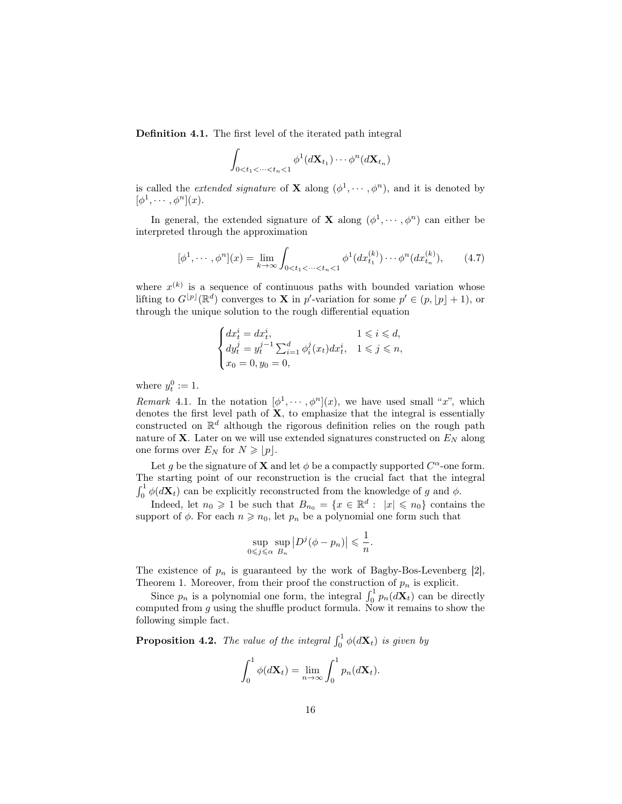Definition 4.1. The first level of the iterated path integral

$$
\int_{0
$$

is called the *extended signature* of **X** along  $(\phi^1, \dots, \phi^n)$ , and it is denoted by  $[\phi^1, \cdots, \phi^n](x).$ 

In general, the extended signature of **X** along  $(\phi^1, \dots, \phi^n)$  can either be interpreted through the approximation

$$
[\phi^1, \cdots, \phi^n](x) = \lim_{k \to \infty} \int_{0 < t_1 < \cdots < t_n < 1} \phi^1(dx_{t_1}^{(k)}) \cdots \phi^n(dx_{t_n}^{(k)}), \tag{4.7}
$$

where  $x^{(k)}$  is a sequence of continuous paths with bounded variation whose lifting to  $G^{[p]}(\mathbb{R}^d)$  converges to **X** in p'-variation for some  $p' \in (p, |p| + 1)$ , or through the unique solution to the rough differential equation

$$
\begin{cases} dx_t^i = dx_t^i, & 1 \leq i \leq d, \\ dy_t^j = y_t^{j-1} \sum_{i=1}^d \phi_i^j(x_t) dx_t^i, & 1 \leq j \leq n, \\ x_0 = 0, y_0 = 0, & \end{cases}
$$

where  $y_t^0 := 1$ .

Remark 4.1. In the notation  $[\phi^1, \dots, \phi^n](x)$ , we have used small "x", which denotes the first level path of  $X$ , to emphasize that the integral is essentially constructed on  $\mathbb{R}^d$  although the rigorous definition relies on the rough path nature of **X**. Later on we will use extended signatures constructed on  $E<sub>N</sub>$  along one forms over  $E_N$  for  $N \geqslant |p|$ .

Let g be the signature of **X** and let  $\phi$  be a compactly supported  $C^{\alpha}$ -one form. The starting point of our reconstruction is the crucial fact that the integral  $\int_0^1 \phi(d\mathbf{X}_t)$  can be explicitly reconstructed from the knowledge of g and  $\phi$ .

Indeed, let  $n_0 \geq 1$  be such that  $B_{n_0} = \{x \in \mathbb{R}^d : |x| \leq n_0\}$  contains the support of  $\phi$ . For each  $n \geq n_0$ , let  $p_n$  be a polynomial one form such that

$$
\sup_{0 \leq j \leq \alpha} \sup_{B_n} |D^j(\phi - p_n)| \leq \frac{1}{n}.
$$

The existence of  $p_n$  is guaranteed by the work of Bagby-Bos-Levenberg [2], Theorem 1. Moreover, from their proof the construction of  $p_n$  is explicit.

Since  $p_n$  is a polynomial one form, the integral  $\int_0^1 p_n(d\mathbf{X}_t)$  can be directly computed from  $g$  using the shuffle product formula. Now it remains to show the following simple fact.

**Proposition 4.2.** The value of the integral  $\int_0^1 \phi(d\mathbf{X}_t)$  is given by

$$
\int_0^1 \phi(d\mathbf{X}_t) = \lim_{n \to \infty} \int_0^1 p_n(d\mathbf{X}_t).
$$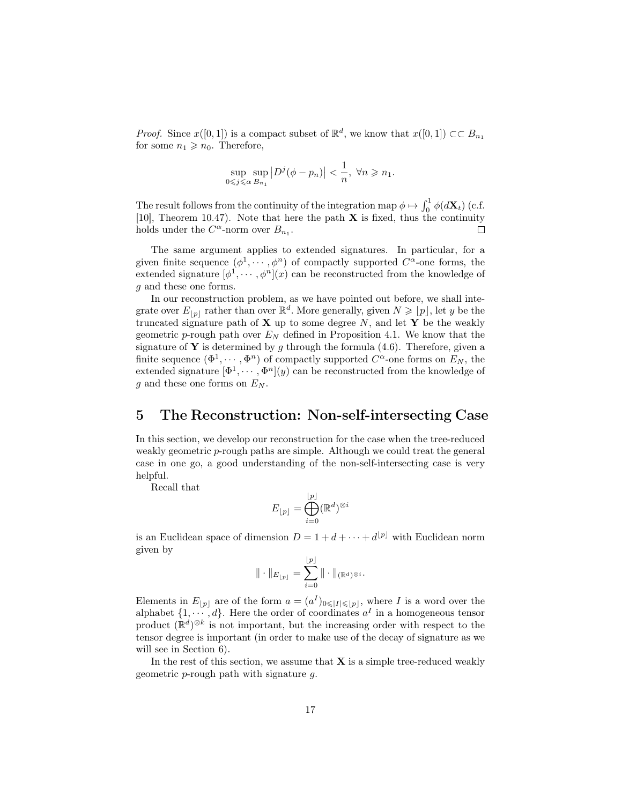*Proof.* Since  $x([0,1])$  is a compact subset of  $\mathbb{R}^d$ , we know that  $x([0,1]) \subset\subset B_{n_1}$ for some  $n_1 \geqslant n_0$ . Therefore,

$$
\sup_{0\leq j\leq \alpha} \sup_{B_{n_1}} |D^j(\phi - p_n)| < \frac{1}{n}, \ \forall n \geq n_1.
$$

The result follows from the continuity of the integration map  $\phi \mapsto \int_0^1 \phi(d\mathbf{X}_t)$  (c.f. [10], Theorem 10.47). Note that here the path  $X$  is fixed, thus the continuity holds under the  $C^{\alpha}$ -norm over  $B_{n_1}$ .  $\Box$ 

The same argument applies to extended signatures. In particular, for a given finite sequence  $(\phi^1, \dots, \phi^n)$  of compactly supported  $C^{\alpha}$ -one forms, the extended signature  $[\phi^1, \cdots, \phi^n](x)$  can be reconstructed from the knowledge of g and these one forms.

In our reconstruction problem, as we have pointed out before, we shall integrate over  $E_{[p]}$  rather than over  $\mathbb{R}^d$ . More generally, given  $N \geqslant [p]$ , let y be the truncated signature path of  $X$  up to some degree  $N$ , and let  $Y$  be the weakly geometric p-rough path over  $E<sub>N</sub>$  defined in Proposition 4.1. We know that the signature of **Y** is determined by g through the formula  $(4.6)$ . Therefore, given a finite sequence  $(\Phi^1, \dots, \Phi^n)$  of compactly supported  $C^{\alpha}$ -one forms on  $E_N$ , the extended signature  $[\Phi^1, \cdots, \Phi^n](y)$  can be reconstructed from the knowledge of  $g$  and these one forms on  $E_N$ .

#### 5 The Reconstruction: Non-self-intersecting Case

In this section, we develop our reconstruction for the case when the tree-reduced weakly geometric p-rough paths are simple. Although we could treat the general case in one go, a good understanding of the non-self-intersecting case is very helpful.

Recall that

$$
E_{\lfloor p\rfloor}=\bigoplus_{i=0}^{\lfloor p\rfloor}(\mathbb{R}^d)^{\otimes i}
$$

is an Euclidean space of dimension  $D = 1 + d + \cdots + d^{\lfloor p \rfloor}$  with Euclidean norm given by bpc

$$
\|\cdot\|_{E_{\lfloor p\rfloor}}=\sum_{i=0}^{\lfloor p\rfloor}\|\cdot\|_{(\mathbb{R}^d)^{\otimes i}}.
$$

Elements in  $E_{[p]}$  are of the form  $a = (a^I)_{0 \leqslant |I| \leqslant |p|}$ , where I is a word over the alphabet  $\{1, \dots, d\}$ . Here the order of coordinates  $a^I$  in a homogeneous tensor product  $(\mathbb{R}^d)^{\otimes k}$  is not important, but the increasing order with respect to the tensor degree is important (in order to make use of the decay of signature as we will see in Section 6).

In the rest of this section, we assume that  $X$  is a simple tree-reduced weakly geometric p-rough path with signature g.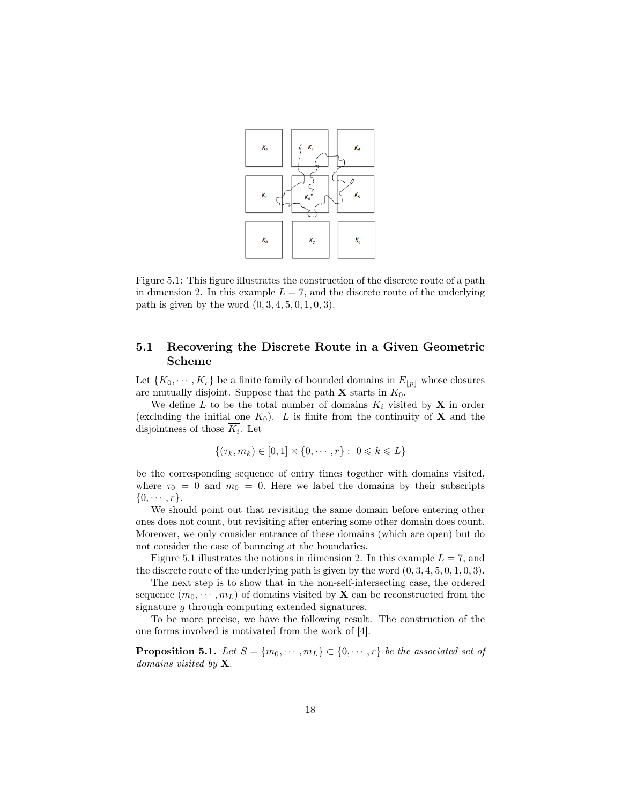

Figure 5.1: This figure illustrates the construction of the discrete route of a path in dimension 2. In this example  $L = 7$ , and the discrete route of the underlying path is given by the word  $(0, 3, 4, 5, 0, 1, 0, 3)$ .

#### 5.1 Recovering the Discrete Route in a Given Geometric Scheme

Let  $\{K_0, \dots, K_r\}$  be a finite family of bounded domains in  $E_{|p|}$  whose closures are mutually disjoint. Suppose that the path  $X$  starts in  $K_0$ .

We define L to be the total number of domains  $K_i$  visited by X in order (excluding the initial one  $K_0$ ). L is finite from the continuity of **X** and the disjointness of those  $K_i$ . Let

$$
\{(\tau_k, m_k) \in [0, 1] \times \{0, \cdots, r\} : 0 \le k \le L\}
$$

be the corresponding sequence of entry times together with domains visited, where  $\tau_0 = 0$  and  $m_0 = 0$ . Here we label the domains by their subscripts  $\{0, \cdots, r\}.$ 

We should point out that revisiting the same domain before entering other ones does not count, but revisiting after entering some other domain does count. Moreover, we only consider entrance of these domains (which are open) but do not consider the case of bouncing at the boundaries.

Figure 5.1 illustrates the notions in dimension 2. In this example  $L = 7$ , and the discrete route of the underlying path is given by the word  $(0, 3, 4, 5, 0, 1, 0, 3)$ .

The next step is to show that in the non-self-intersecting case, the ordered sequence  $(m_0, \dots, m_L)$  of domains visited by **X** can be reconstructed from the signature g through computing extended signatures.

To be more precise, we have the following result. The construction of the one forms involved is motivated from the work of [4].

**Proposition 5.1.** Let  $S = \{m_0, \dots, m_L\} \subset \{0, \dots, r\}$  be the associated set of domains visited by  $X$ .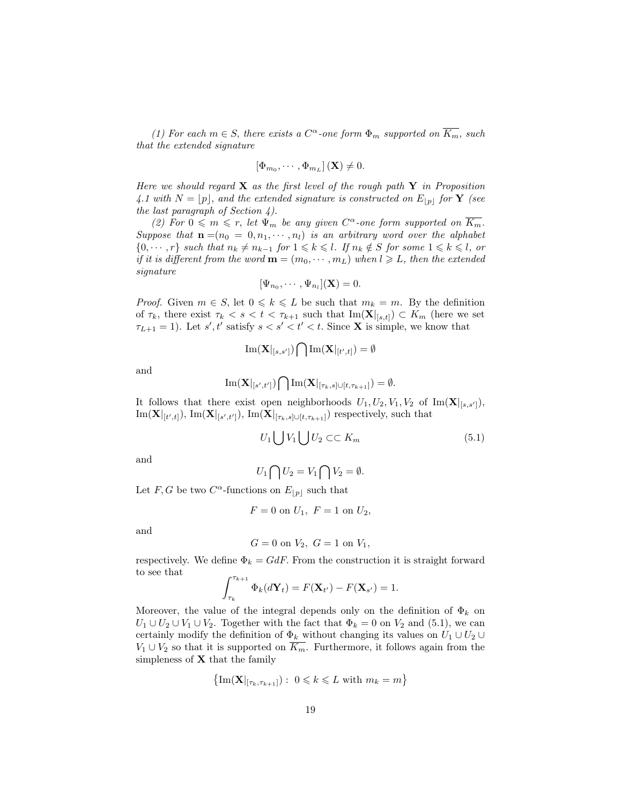(1) For each  $m \in S$ , there exists a  $C^{\alpha}$ -one form  $\Phi_m$  supported on  $\overline{K_m}$ , such that the extended signature

$$
\left[\Phi_{m_0},\cdots,\Phi_{m_L}\right](\mathbf{X})\neq 0.
$$

Here we should regard  $X$  as the first level of the rough path  $Y$  in Proposition 4.1 with  $N = [p]$ , and the extended signature is constructed on  $E_{[p]}$  for **Y** (see the last paragraph of Section  $4$ ).

(2) For  $0 \leq m \leq r$ , let  $\Psi_m$  be any given  $C^{\alpha}$ -one form supported on  $\overline{K_m}$ . Suppose that  $\mathbf{n} = (n_0 = 0, n_1, \dots, n_l)$  is an arbitrary word over the alphabet  $\{0, \dots, r\}$  such that  $n_k \neq n_{k-1}$  for  $1 \leq k \leq l$ . If  $n_k \notin S$  for some  $1 \leq k \leq l$ , or if it is different from the word  $\mathbf{m} = (m_0, \cdots, m_L)$  when  $l \geq L$ , then the extended signature

$$
[\Psi_{n_0},\cdots,\Psi_{n_l}](\mathbf{X})=0.
$$

*Proof.* Given  $m \in S$ , let  $0 \leq k \leq L$  be such that  $m_k = m$ . By the definition of  $\tau_k$ , there exist  $\tau_k < s < t < \tau_{k+1}$  such that  $\text{Im}(\mathbf{X}|_{[s,t]}) \subset K_m$  (here we set  $\tau_{L+1} = 1$ ). Let s', t' satisfy  $s < s' < t' < t$ . Since **X** is simple, we know that

$$
\mathrm{Im}(\mathbf{X}|_{[s,s']})\bigcap \mathrm{Im}(\mathbf{X}|_{[t',t]})=\emptyset
$$

and

$$
\mathrm{Im}(\mathbf{X}|_{[s',t']})\bigcap \mathrm{Im}(\mathbf{X}|_{[\tau_k,s]\cup [t,\tau_{k+1}]})=\emptyset.
$$

It follows that there exist open neighborhoods  $U_1, U_2, V_1, V_2$  of  $\text{Im}(\mathbf{X}|_{[s,s']})$ ,  $\text{Im}(\mathbf{X}|_{[t',t]}), \text{Im}(\mathbf{X}|_{[s',t']}), \text{Im}(\mathbf{X}|_{[\tau_k,s] \cup [t,\tau_{k+1}]})$  respectively, such that

$$
U_1 \bigcup V_1 \bigcup U_2 \subset \subset K_m \tag{5.1}
$$

and

$$
U_1 \bigcap U_2 = V_1 \bigcap V_2 = \emptyset.
$$

Let F, G be two  $C^{\alpha}$ -functions on  $E_{\|p\|}$  such that

$$
F = 0
$$
 on  $U_1$ ,  $F = 1$  on  $U_2$ ,

and

$$
G = 0 \text{ on } V_2, \ G = 1 \text{ on } V_1,
$$

respectively. We define  $\Phi_k = G dF$ . From the construction it is straight forward to see that

$$
\int_{\tau_k}^{\tau_{k+1}} \Phi_k(d\mathbf{Y}_t) = F(\mathbf{X}_{t'}) - F(\mathbf{X}_{s'}) = 1.
$$

Moreover, the value of the integral depends only on the definition of  $\Phi_k$  on  $U_1 \cup U_2 \cup V_1 \cup V_2$ . Together with the fact that  $\Phi_k = 0$  on  $V_2$  and (5.1), we can certainly modify the definition of  $\Phi_k$  without changing its values on  $U_1 \cup U_2 \cup$  $V_1 \cup V_2$  so that it is supported on  $\overline{K_m}$ . Furthermore, it follows again from the simpleness of  $X$  that the family

$$
\left\{\mathrm{Im}(\mathbf{X}|_{[\tau_k,\tau_{k+1}]}) : 0 \leq k \leq L \text{ with } m_k = m\right\}
$$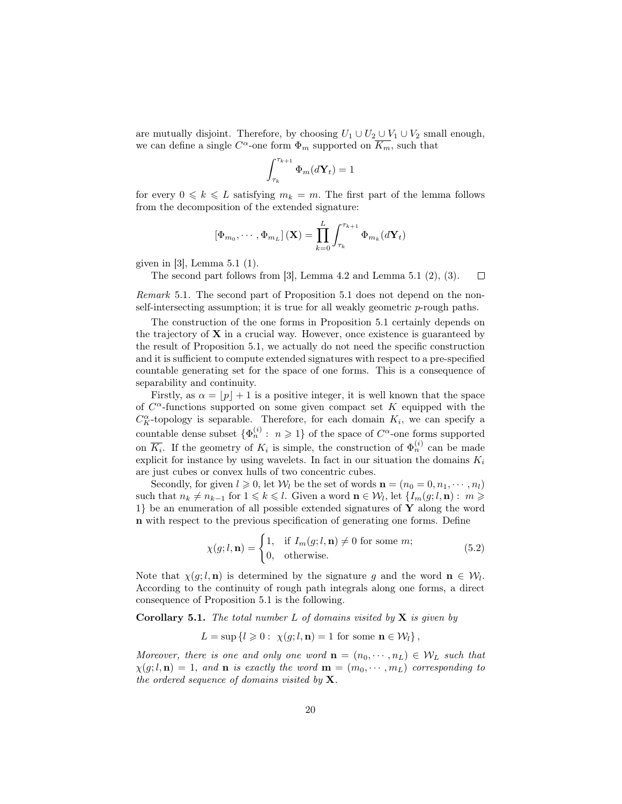are mutually disjoint. Therefore, by choosing  $U_1 \cup U_2 \cup V_1 \cup V_2$  small enough, we can define a single  $C^{\alpha}$ -one form  $\Phi_m$  supported on  $\overline{K_m}$ , such that

$$
\int_{\tau_k}^{\tau_{k+1}} \Phi_m(d\mathbf{Y}_t) = 1
$$

for every  $0 \leq k \leq L$  satisfying  $m_k = m$ . The first part of the lemma follows from the decomposition of the extended signature:

$$
\left[\Phi_{m_0},\cdots,\Phi_{m_L}\right](\mathbf{X})=\prod_{k=0}^L\int_{\tau_k}^{\tau_{k+1}}\Phi_{m_k}(d\mathbf{Y}_t)
$$

given in [3], Lemma 5.1 (1).

The second part follows from [3], Lemma 4.2 and Lemma 5.1 (2), (3).  $\Box$ 

Remark 5.1. The second part of Proposition 5.1 does not depend on the nonself-intersecting assumption; it is true for all weakly geometric  $p$ -rough paths.

The construction of the one forms in Proposition 5.1 certainly depends on the trajectory of  $X$  in a crucial way. However, once existence is guaranteed by the result of Proposition 5.1, we actually do not need the specific construction and it is sufficient to compute extended signatures with respect to a pre-specified countable generating set for the space of one forms. This is a consequence of separability and continuity.

Firstly, as  $\alpha = |p| + 1$  is a positive integer, it is well known that the space of  $C^{\alpha}$ -functions supported on some given compact set K equipped with the  $C_K^{\alpha}$ -topology is separable. Therefore, for each domain  $K_i$ , we can specify a countable dense subset  $\{\Phi_n^{(i)}: n \geq 1\}$  of the space of  $C^{\alpha}$ -one forms supported on  $\overline{K_i}$ . If the geometry of  $K_i$  is simple, the construction of  $\Phi_n^{(i)}$  can be made explicit for instance by using wavelets. In fact in our situation the domains  $K_i$ are just cubes or convex hulls of two concentric cubes.

Secondly, for given  $l \geq 0$ , let  $W_l$  be the set of words  $\mathbf{n} = (n_0 = 0, n_1, \dots, n_l)$ such that  $n_k \neq n_{k-1}$  for  $1 \leq k \leq l$ . Given a word  $n \in \mathcal{W}_l$ , let  $\{I_m(g; l, n) : m \geq l\}$  $1$  be an enumeration of all possible extended signatures of Y along the word n with respect to the previous specification of generating one forms. Define

$$
\chi(g; l, \mathbf{n}) = \begin{cases} 1, & \text{if } I_m(g; l, \mathbf{n}) \neq 0 \text{ for some } m; \\ 0, & \text{otherwise.} \end{cases}
$$
(5.2)

Note that  $\chi(g; l, \mathbf{n})$  is determined by the signature g and the word  $\mathbf{n} \in \mathcal{W}_l$ . According to the continuity of rough path integrals along one forms, a direct consequence of Proposition 5.1 is the following.

**Corollary 5.1.** The total number  $L$  of domains visited by  $X$  is given by

 $L = \sup \{l \geq 0 : \chi(q; l, n) = 1 \text{ for some } n \in \mathcal{W}_l\},\$ 

Moreover, there is one and only one word  $\mathbf{n} = (n_0, \dots, n_L) \in \mathcal{W}_L$  such that  $\chi(g; l, n) = 1$ , and n is exactly the word  $\mathbf{m} = (m_0, \dots, m_L)$  corresponding to the ordered sequence of domains visited by  $X$ .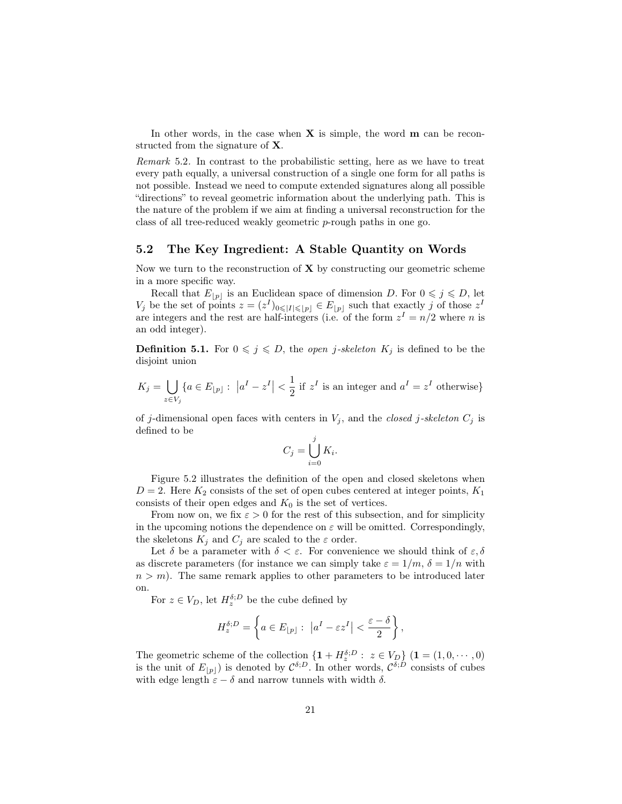In other words, in the case when  $X$  is simple, the word  $m$  can be reconstructed from the signature of X.

Remark 5.2. In contrast to the probabilistic setting, here as we have to treat every path equally, a universal construction of a single one form for all paths is not possible. Instead we need to compute extended signatures along all possible "directions" to reveal geometric information about the underlying path. This is the nature of the problem if we aim at finding a universal reconstruction for the class of all tree-reduced weakly geometric p-rough paths in one go.

#### 5.2 The Key Ingredient: A Stable Quantity on Words

Now we turn to the reconstruction of  $X$  by constructing our geometric scheme in a more specific way.

Recall that  $E_{[p]}$  is an Euclidean space of dimension D. For  $0 \leq j \leq D$ , let  $V_j$  be the set of points  $z = (z^I)_{0 \leqslant |I| \leqslant |p|} \in E_{|p|}$  such that exactly j of those  $z^I$ are integers and the rest are half-integers (i.e. of the form  $z<sup>I</sup> = n/2$  where n is an odd integer).

**Definition 5.1.** For  $0 \leq j \leq D$ , the *open j-skeleton*  $K_j$  is defined to be the disjoint union

$$
K_j = \bigcup_{z \in V_j} \{a \in E_{\lfloor p \rfloor} : \ |a^I - z^I| < \frac{1}{2} \text{ if } z^I \text{ is an integer and } a^I = z^I \text{ otherwise}\}
$$

of j-dimensional open faces with centers in  $V_j$ , and the *closed* j-skeleton  $C_j$  is defined to be

$$
C_j = \bigcup_{i=0}^j K_i.
$$

Figure 5.2 illustrates the definition of the open and closed skeletons when  $D = 2$ . Here  $K_2$  consists of the set of open cubes centered at integer points,  $K_1$ consists of their open edges and  $K_0$  is the set of vertices.

From now on, we fix  $\varepsilon > 0$  for the rest of this subsection, and for simplicity in the upcoming notions the dependence on  $\varepsilon$  will be omitted. Correspondingly, the skeletons  $K_j$  and  $C_j$  are scaled to the  $\varepsilon$  order.

Let  $\delta$  be a parameter with  $\delta < \varepsilon$ . For convenience we should think of  $\varepsilon, \delta$ as discrete parameters (for instance we can simply take  $\varepsilon = 1/m$ ,  $\delta = 1/n$  with  $n > m$ ). The same remark applies to other parameters to be introduced later on.

For  $z \in V_D$ , let  $H_z^{\delta;D}$  be the cube defined by

$$
H_z^{\delta;D} = \left\{ a \in E_{\lfloor p \rfloor} : \ \left| a^I - \varepsilon z^I \right| < \frac{\varepsilon - \delta}{2} \right\},\
$$

The geometric scheme of the collection  $\{1 + H_z^{\delta;D} : z \in V_D\}$   $(1 = (1, 0, \dots, 0)$ is the unit of  $E_{|p|}$  is denoted by  $\mathcal{C}^{\delta;D}$ . In other words,  $\mathcal{C}^{\delta;D}$  consists of cubes with edge length  $\varepsilon - \delta$  and narrow tunnels with width  $\delta$ .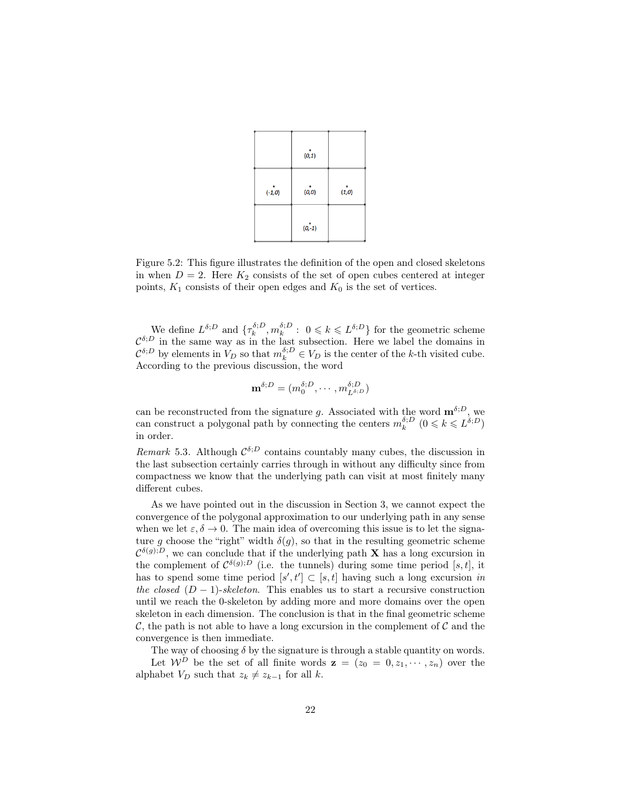|          | (0, 1)   |        |
|----------|----------|--------|
| $(-1,0)$ | (0, 0)   | (1, 0) |
|          | $(0,-1)$ |        |

Figure 5.2: This figure illustrates the definition of the open and closed skeletons in when  $D = 2$ . Here  $K_2$  consists of the set of open cubes centered at integer points,  $K_1$  consists of their open edges and  $K_0$  is the set of vertices.

We define  $L^{\delta;D}$  and  $\{\tau_k^{\delta;D}, m_k^{\delta;D} : 0 \leq k \leq L^{\delta;D}\}\$  for the geometric scheme  $\mathcal{C}^{\delta;D}$  in the same way as in the last subsection. Here we label the domains in  $\mathcal{C}^{\delta;D}$  by elements in  $V_D$  so that  $m_k^{\delta;D} \in V_D$  is the center of the k-th visited cube. According to the previous discussion, the word

$$
\mathbf{m}^{\delta;D} = (m_0^{\delta;D}, \cdots, m_{L^{\delta;D}}^{\delta;D})
$$

can be reconstructed from the signature g. Associated with the word  $\mathbf{m}^{\delta;D}$ , we can construct a polygonal path by connecting the centers  $m_k^{\delta;D}$   $(0 \le k \le L^{\delta;D})$ in order.

Remark 5.3. Although  $\mathcal{C}^{\delta;D}$  contains countably many cubes, the discussion in the last subsection certainly carries through in without any difficulty since from compactness we know that the underlying path can visit at most finitely many different cubes.

As we have pointed out in the discussion in Section 3, we cannot expect the convergence of the polygonal approximation to our underlying path in any sense when we let  $\varepsilon, \delta \to 0$ . The main idea of overcoming this issue is to let the signature g choose the "right" width  $\delta(g)$ , so that in the resulting geometric scheme  $\mathcal{C}^{\delta(g);D}$ , we can conclude that if the underlying path **X** has a long excursion in the complement of  $\mathcal{C}^{\delta(g);D}$  (i.e. the tunnels) during some time period [s, t], it has to spend some time period  $[s', t'] \subset [s, t]$  having such a long excursion in the closed  $(D-1)$ -skeleton. This enables us to start a recursive construction until we reach the 0-skeleton by adding more and more domains over the open skeleton in each dimension. The conclusion is that in the final geometric scheme  $\mathcal{C}$ , the path is not able to have a long excursion in the complement of  $\mathcal{C}$  and the convergence is then immediate.

The way of choosing  $\delta$  by the signature is through a stable quantity on words. Let  $\mathcal{W}^D$  be the set of all finite words  $\mathbf{z} = (z_0 = 0, z_1, \dots, z_n)$  over the alphabet  $V_D$  such that  $z_k \neq z_{k-1}$  for all k.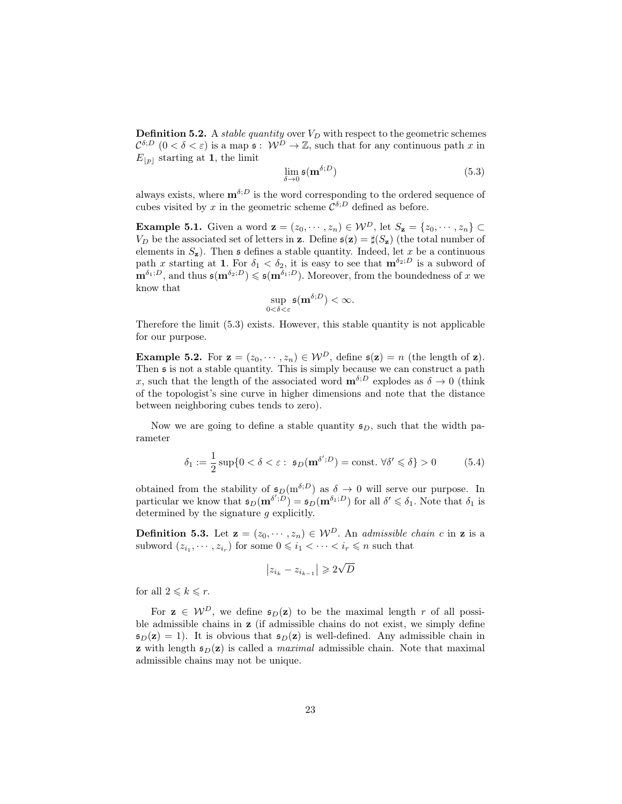**Definition 5.2.** A *stable quantity* over  $V_D$  with respect to the geometric schemes  $\mathcal{C}^{\delta;D}$   $(0 < \delta < \varepsilon)$  is a map  $\mathfrak{s}: \mathcal{W}^D \to \mathbb{Z}$ , such that for any continuous path x in  $E_{|p|}$  starting at 1, the limit

$$
\lim_{\delta \to 0} \mathfrak{s}(\mathbf{m}^{\delta;D}) \tag{5.3}
$$

always exists, where  $\mathbf{m}^{\delta;D}$  is the word corresponding to the ordered sequence of cubes visited by x in the geometric scheme  $\mathcal{C}^{\delta;D}$  defined as before.

Example 5.1. Given a word  $\mathbf{z} = (z_0, \dots, z_n) \in \mathcal{W}^D$ , let  $S_{\mathbf{z}} = \{z_0, \dots, z_n\} \subset$  $V_D$  be the associated set of letters in z. Define  $\mathfrak{s}(\mathbf{z}) = \sharp (S_{\mathbf{z}})$  (the total number of elements in  $S_z$ ). Then  $\epsilon$  defines a stable quantity. Indeed, let x be a continuous path x starting at 1. For  $\delta_1 < \delta_2$ , it is easy to see that  $\mathbf{m}^{\delta_2, D}$  is a subword of  $\mathbf{m}^{\delta_1;D}$ , and thus  $\mathfrak{s}(\mathbf{m}^{\delta_2;D}) \leq \mathfrak{s}(\mathbf{m}^{\delta_1;D})$ . Moreover, from the boundedness of x we know that

$$
\sup_{0<\delta<\varepsilon}\mathfrak{s}(\mathbf{m}^{\delta;D})<\infty.
$$

Therefore the limit (5.3) exists. However, this stable quantity is not applicable for our purpose.

**Example 5.2.** For  $\mathbf{z} = (z_0, \dots, z_n) \in \mathcal{W}^D$ , define  $\mathfrak{s}(\mathbf{z}) = n$  (the length of  $\mathbf{z}$ ). Then  $\overline{s}$  is not a stable quantity. This is simply because we can construct a path x, such that the length of the associated word  $\mathbf{m}^{\delta;D}$  explodes as  $\delta \to 0$  (think of the topologist's sine curve in higher dimensions and note that the distance between neighboring cubes tends to zero).

Now we are going to define a stable quantity  $\mathfrak{s}_D$ , such that the width parameter

$$
\delta_1 := \frac{1}{2} \sup \{ 0 < \delta < \varepsilon : \ \mathfrak{s}_D(\mathbf{m}^{\delta';D}) = \text{const.} \ \forall \delta' \leq \delta \} > 0 \tag{5.4}
$$

obtained from the stability of  $\mathfrak{s}_D(m^{\delta;D})$  as  $\delta \to 0$  will serve our purpose. In particular we know that  $\mathfrak{s}_D(\mathbf{m}^{\delta'},\overline{D}) = \mathfrak{s}_D(\mathbf{m}^{\delta_1;D})$  for all  $\delta' \leq \delta_1$ . Note that  $\delta_1$  is determined by the signature  $g$  explicitly.

**Definition 5.3.** Let  $\mathbf{z} = (z_0, \dots, z_n) \in \mathcal{W}^D$ . An *admissible chain c* in **z** is a subword  $(z_{i_1}, \dots, z_{i_r})$  for some  $0 \leqslant i_1 < \dots < i_r \leqslant n$  such that

$$
\left|z_{i_k} - z_{i_{k-1}}\right| \geqslant 2\sqrt{D}
$$

for all  $2 \leqslant k \leqslant r$ .

For  $z \in \mathcal{W}^D$ , we define  $\mathfrak{s}_D(z)$  to be the maximal length r of all possible admissible chains in z (if admissible chains do not exist, we simply define  $\mathfrak{s}_D(\mathbf{z}) = 1$ . It is obvious that  $\mathfrak{s}_D(\mathbf{z})$  is well-defined. Any admissible chain in **z** with length  $\mathfrak{s}_D(\mathbf{z})$  is called a *maximal* admissible chain. Note that maximal admissible chains may not be unique.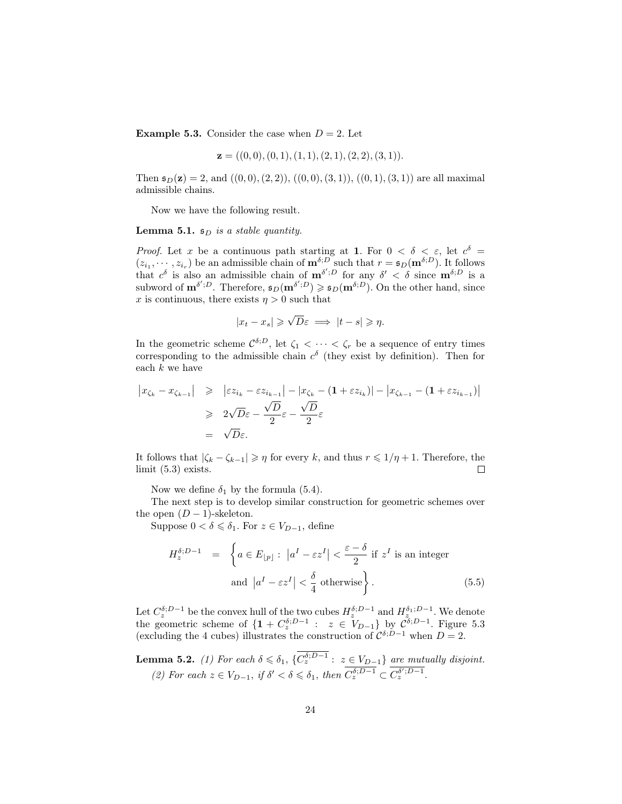**Example 5.3.** Consider the case when  $D = 2$ . Let

$$
\mathbf{z} = ((0,0), (0,1), (1,1), (2,1), (2,2), (3,1)).
$$

Then  $\mathfrak{s}_D(\mathbf{z}) = 2$ , and  $((0,0), (2, 2)), ((0,0), (3, 1)), ((0,1), (3, 1))$  are all maximal admissible chains.

Now we have the following result.

**Lemma 5.1.**  $\mathfrak{s}_D$  is a stable quantity.

*Proof.* Let x be a continuous path starting at 1. For  $0 < \delta < \varepsilon$ , let  $c^{\delta}$  $(z_{i_1},\dots, z_{i_r})$  be an admissible chain of  $\mathbf{m}^{\delta,D}$  such that  $r = \mathfrak{s}_D(\mathbf{m}^{\delta,D})$ . It follows that  $c^{\delta}$  is also an admissible chain of  $\mathbf{m}^{\delta';D}$  for any  $\delta' < \delta$  since  $\mathbf{m}^{\delta;D}$  is a subword of  $\mathbf{m}^{\delta';D}$ . Therefore,  $\mathfrak{s}_D(\mathbf{m}^{\delta';D}) \geq \mathfrak{s}_D(\mathbf{m}^{\delta;D})$ . On the other hand, since x is continuous, there exists  $\eta > 0$  such that

$$
|x_t - x_s| \geqslant \sqrt{D}\varepsilon \implies |t - s| \geqslant \eta.
$$

In the geometric scheme  $\mathcal{C}^{\delta,D}$ , let  $\zeta_1 < \cdots < \zeta_r$  be a sequence of entry times corresponding to the admissible chain  $c^{\delta}$  (they exist by definition). Then for each  $k$  we have

$$
\begin{array}{rcl}\n\left|x_{\zeta_k} - x_{\zeta_{k-1}}\right| & \geqslant & \left|\varepsilon z_{i_k} - \varepsilon z_{i_{k-1}}\right| - \left|x_{\zeta_k} - (1 + \varepsilon z_{i_k})\right| - \left|x_{\zeta_{k-1}} - (1 + \varepsilon z_{i_{k-1}})\right| \\
& \geqslant & 2\sqrt{D}\varepsilon - \frac{\sqrt{D}}{2}\varepsilon - \frac{\sqrt{D}}{2}\varepsilon \\
& = & \sqrt{D}\varepsilon.\n\end{array}
$$

It follows that  $|\zeta_k - \zeta_{k-1}| \geq \eta$  for every k, and thus  $r \leq 1/\eta + 1$ . Therefore, the limit (5.3) exists.  $\Box$ 

Now we define  $\delta_1$  by the formula (5.4).

The next step is to develop similar construction for geometric schemes over the open  $(D-1)$ -skeleton.

Suppose  $0 < \delta \leq \delta_1$ . For  $z \in V_{D-1}$ , define

$$
H_z^{\delta; D-1} = \left\{ a \in E_{\lfloor p \rfloor} : \left| a^I - \varepsilon z^I \right| < \frac{\varepsilon - \delta}{2} \text{ if } z^I \text{ is an integer} \right\}
$$
  
and 
$$
\left| a^I - \varepsilon z^I \right| < \frac{\delta}{4} \text{ otherwise} \right\}.
$$
 (5.5)

Let  $C^{\delta;D-1}_z$  be the convex hull of the two cubes  $H^{\delta;D-1}_z$  and  $H^{\delta_1;D-1}_z$ . We denote the geometric scheme of  $\{1 + C_z^{\delta;D-1} : z \in V_{D-1}\}$  by  $C^{\delta;D-1}$ . Figure 5.3 (excluding the 4 cubes) illustrates the construction of  $\mathcal{C}^{\delta;D-1}$  when  $D=2$ .

**Lemma 5.2.** (1) For each  $\delta \leq \delta_1$ ,  $\{C_z^{\delta;D-1} : z \in V_{D-1}\}\)$  are mutually disjoint. (2) For each  $z \in V_{D-1}$ , if  $\delta' < \delta \leq \delta_1$ , then  $\overline{C_z^{\delta; D-1}} \subset \overline{C_z^{\delta'; D-1}}$ .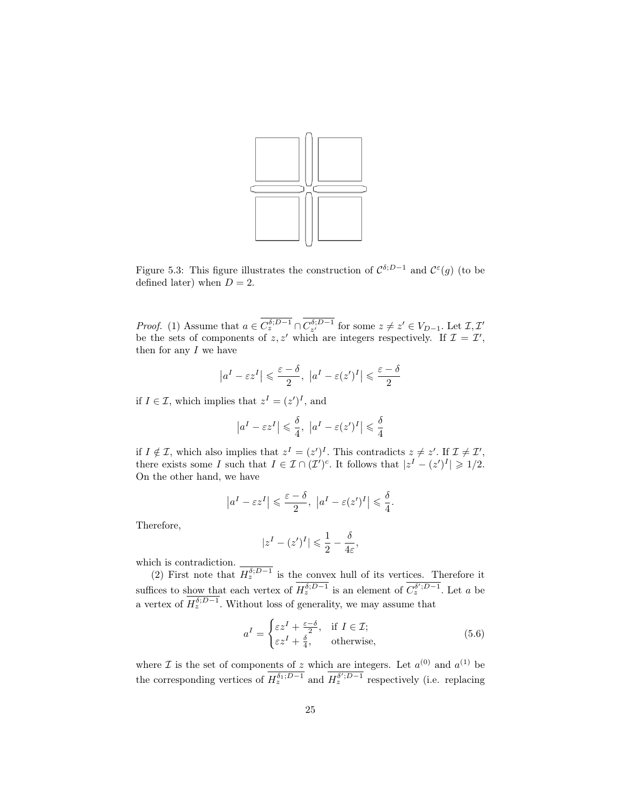

Figure 5.3: This figure illustrates the construction of  $\mathcal{C}^{\delta;D-1}$  and  $\mathcal{C}^{\varepsilon}(g)$  (to be defined later) when  $D = 2$ .

*Proof.* (1) Assume that  $a \in C_z^{\delta; D-1} \cap C_{z'}^{\delta; D-1}$  for some  $z \neq z' \in V_{D-1}$ . Let  $\mathcal{I}, \mathcal{I}'$ be the sets of components of  $z, z'$  which are integers respectively. If  $\mathcal{I} = \mathcal{I}'$ , then for any  $I$  we have

$$
\left|a^{I}-\varepsilon z^{I}\right|\leqslant\frac{\varepsilon-\delta}{2},\ \left|a^{I}-\varepsilon(z^{\prime})^{I}\right|\leqslant\frac{\varepsilon-\delta}{2}
$$

if  $I \in \mathcal{I}$ , which implies that  $z^I = (z')^I$ , and

$$
\left|a^{I}-\varepsilon z^{I}\right|\leqslant\frac{\delta}{4},\ \left|a^{I}-\varepsilon(z^{\prime})^{I}\right|\leqslant\frac{\delta}{4}
$$

if  $I \notin \mathcal{I}$ , which also implies that  $z^I = (z')^I$ . This contradicts  $z \neq z'$ . If  $\mathcal{I} \neq \mathcal{I}'$ , there exists some I such that  $I \in \mathcal{I} \cap (\mathcal{I}')^c$ . It follows that  $|z^I - (z')^I| \geq 1/2$ . On the other hand, we have

$$
|a^I - \varepsilon z^I| \leq \frac{\varepsilon - \delta}{2}, |a^I - \varepsilon (z')^I| \leq \frac{\delta}{4}.
$$

Therefore,

$$
|z^I - (z')^I| \leq \frac{1}{2} - \frac{\delta}{4\varepsilon},
$$

which is contradiction.

(2) First note that  $H_z^{\delta;D-1}$  is the convex hull of its vertices. Therefore it suffices to show that each vertex of  $H_z^{\delta;D-1}$  is an element of  $C_z^{\delta';D-1}$ . Let a be a vertex of  $H_z^{\delta;D-1}$ . Without loss of generality, we may assume that

$$
a^{I} = \begin{cases} \varepsilon z^{I} + \frac{\varepsilon - \delta}{2}, & \text{if } I \in \mathcal{I};\\ \varepsilon z^{I} + \frac{\delta}{4}, & \text{otherwise}, \end{cases}
$$
(5.6)

where  $\mathcal I$  is the set of components of z which are integers. Let  $a^{(0)}$  and  $a^{(1)}$  be the corresponding vertices of  $H_z^{\delta_1;D-1}$  and  $H_z^{\delta',D-1}$  respectively (i.e. replacing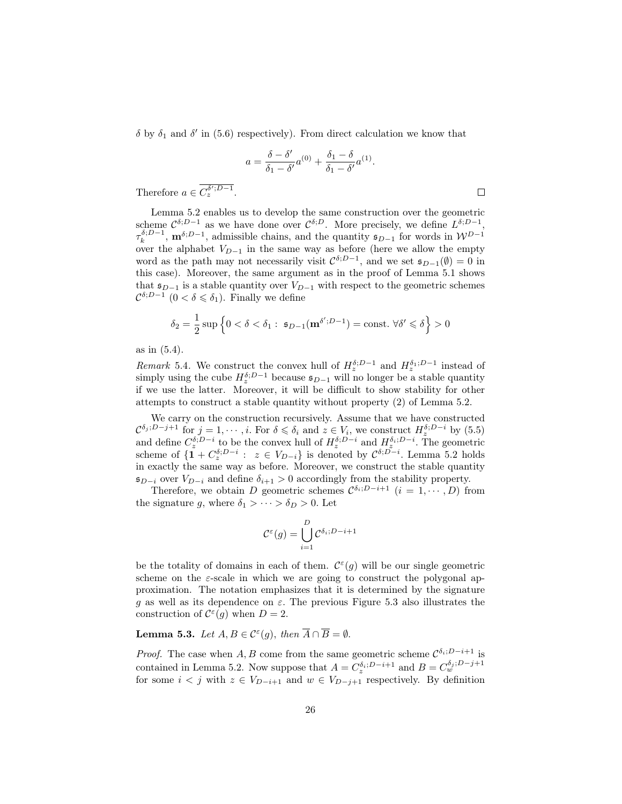$\delta$  by  $\delta_1$  and  $\delta'$  in (5.6) respectively). From direct calculation we know that

$$
a = \frac{\delta - \delta'}{\delta_1 - \delta'} a^{(0)} + \frac{\delta_1 - \delta}{\delta_1 - \delta'} a^{(1)}.
$$

 $\Box$ 

Therefore  $a \in C_z^{\delta';D-1}$ .

Lemma 5.2 enables us to develop the same construction over the geometric scheme  $\mathcal{C}^{\delta;D-1}$  as we have done over  $\mathcal{C}^{\delta;D}$ . More precisely, we define  $L^{\delta;D-1}$ ,  $\tau_k^{\delta;D-1}$ ,  $\mathbf{m}^{\delta;D-1}$ , admissible chains, and the quantity  $\mathfrak{s}_{D-1}$  for words in  $\mathcal{W}^{D-1}$ over the alphabet  $V_{D-1}$  in the same way as before (here we allow the empty word as the path may not necessarily visit  $C^{\delta;D-1}$ , and we set  $\mathfrak{s}_{D-1}(\emptyset) = 0$  in this case). Moreover, the same argument as in the proof of Lemma 5.1 shows that  $\mathfrak{s}_{D-1}$  is a stable quantity over  $V_{D-1}$  with respect to the geometric schemes  $\mathcal{C}^{\delta;D-1}$  (0 <  $\delta \leq \delta_1$ ). Finally we define

$$
\delta_2 = \frac{1}{2} \sup \left\{ 0 < \delta < \delta_1 : \ \mathfrak{s}_{D-1}(\mathbf{m}^{\delta'; D-1}) = \text{const.} \ \forall \delta' \leq \delta \right\} > 0
$$

as in (5.4).

Remark 5.4. We construct the convex hull of  $H_{z}^{\delta;D-1}$  and  $H_{z}^{\delta_{1};D-1}$  instead of simply using the cube  $H_z^{\delta;D-1}$  because  $\mathfrak{s}_{D-1}$  will no longer be a stable quantity if we use the latter. Moreover, it will be difficult to show stability for other attempts to construct a stable quantity without property (2) of Lemma 5.2.

We carry on the construction recursively. Assume that we have constructed  $\mathcal{C}^{\delta_j;D-j+1}$  for  $j=1,\cdots,i$ . For  $\delta\leqslant\delta_i$  and  $z\in V_i$ , we construct  $H_z^{\delta;D-i}$  by  $(5.5)$ and define  $C^{\delta;D-i}_{z}$  to be the convex hull of  $H^{\delta;D-i}_{z}$  and  $H^{\delta_{i};D-i}_{z}$ . The geometric scheme of  $\{1 + C^{\delta; D-i}_z : z \in V_{D-i}\}$  is denoted by  $C^{\delta; D-i}$ . Lemma 5.2 holds in exactly the same way as before. Moreover, we construct the stable quantity  $\mathfrak{s}_{D-i}$  over  $V_{D-i}$  and define  $\delta_{i+1} > 0$  accordingly from the stability property.

Therefore, we obtain D geometric schemes  $\mathcal{C}^{\delta_i;D-i+1}$   $(i = 1, \cdots, D)$  from the signature g, where  $\delta_1 > \cdots > \delta_D > 0$ . Let

$$
\mathcal{C}^{\varepsilon}(g) = \bigcup_{i=1}^{D} \mathcal{C}^{\delta_i; D-i+1}
$$

be the totality of domains in each of them.  $\mathcal{C}^{\varepsilon}(g)$  will be our single geometric scheme on the  $\varepsilon$ -scale in which we are going to construct the polygonal approximation. The notation emphasizes that it is determined by the signature g as well as its dependence on  $\varepsilon$ . The previous Figure 5.3 also illustrates the construction of  $C^{\varepsilon}(g)$  when  $D=2$ .

**Lemma 5.3.** Let  $A, B \in \mathcal{C}^{\varepsilon}(g)$ , then  $\overline{A} \cap \overline{B} = \emptyset$ .

*Proof.* The case when A, B come from the same geometric scheme  $\mathcal{C}^{\delta_i;D-i+1}$  is contained in Lemma 5.2. Now suppose that  $A = C_z^{\delta_i; D-i+1}$  and  $B = C_w^{\delta_j; D-j+1}$ for some  $i < j$  with  $z \in V_{D-i+1}$  and  $w \in V_{D-j+1}$  respectively. By definition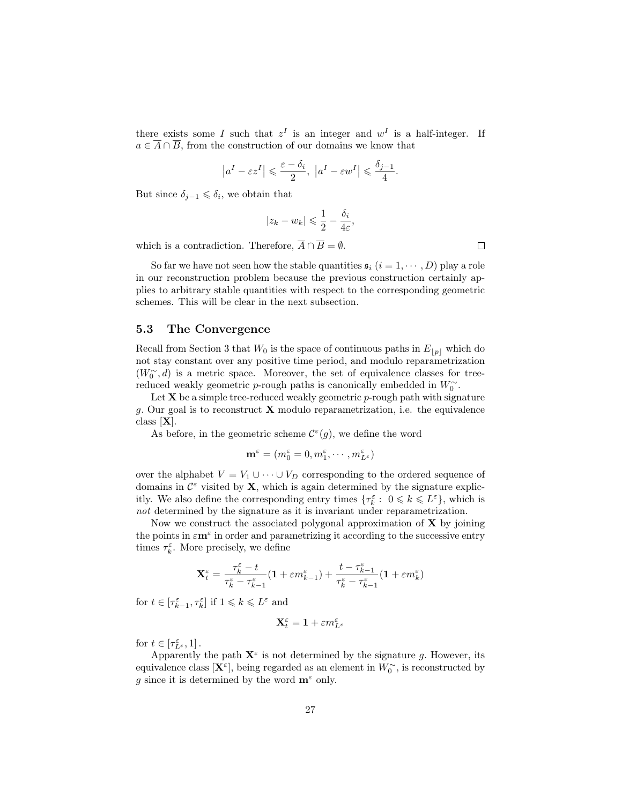there exists some I such that  $z^I$  is an integer and  $w^I$  is a half-integer. If  $a \in \overline{A} \cap \overline{B}$ , from the construction of our domains we know that

$$
\left|a^I - \varepsilon z^I\right| \leqslant \frac{\varepsilon - \delta_i}{2}, \ \left|a^I - \varepsilon w^I\right| \leqslant \frac{\delta_{j-1}}{4}.
$$

But since  $\delta_{j-1} \leq \delta_i$ , we obtain that

$$
|z_k - w_k| \leqslant \frac{1}{2} - \frac{\delta_i}{4\varepsilon},
$$

which is a contradiction. Therefore,  $\overline{A} \cap \overline{B} = \emptyset$ .

So far we have not seen how the stable quantities  $\mathfrak{s}_i$   $(i = 1, \dots, D)$  play a role in our reconstruction problem because the previous construction certainly applies to arbitrary stable quantities with respect to the corresponding geometric schemes. This will be clear in the next subsection.

#### 5.3 The Convergence

Recall from Section 3 that  $W_0$  is the space of continuous paths in  $E_{|p|}$  which do not stay constant over any positive time period, and modulo reparametrization  $(W_0^{\sim}, d)$  is a metric space. Moreover, the set of equivalence classes for treereduced weakly geometric *p*-rough paths is canonically embedded in  $W_0^{\sim}$ .

Let  $X$  be a simple tree-reduced weakly geometric  $p$ -rough path with signature q. Our goal is to reconstruct  $X$  modulo reparametrization, i.e. the equivalence class [X].

As before, in the geometric scheme  $\mathcal{C}^{\varepsilon}(g)$ , we define the word

$$
\mathbf{m}^{\varepsilon} = (m_0^{\varepsilon} = 0, m_1^{\varepsilon}, \cdots, m_{L^{\varepsilon}}^{\varepsilon})
$$

over the alphabet  $V = V_1 \cup \cdots \cup V_D$  corresponding to the ordered sequence of domains in  $\mathcal{C}^{\varepsilon}$  visited by **X**, which is again determined by the signature explicitly. We also define the corresponding entry times  $\{\tau_k^{\varepsilon} : 0 \leq k \leq L^{\varepsilon}\}\,$ , which is not determined by the signature as it is invariant under reparametrization.

Now we construct the associated polygonal approximation of  $X$  by joining the points in  $\varepsilon \mathbf{m}^{\varepsilon}$  in order and parametrizing it according to the successive entry times  $\tau_k^{\varepsilon}$ . More precisely, we define

$$
\mathbf{X}_t^\varepsilon = \frac{\tau_k^\varepsilon - t}{\tau_k^\varepsilon - \tau_{k-1}^\varepsilon}(1+\varepsilon m_{k-1}^\varepsilon) + \frac{t-\tau_{k-1}^\varepsilon}{\tau_k^\varepsilon - \tau_{k-1}^\varepsilon}(1+\varepsilon m_k^\varepsilon)
$$

for  $t \in [\tau_{k-1}^{\varepsilon}, \tau_k^{\varepsilon}]$  if  $1 \leqslant k \leqslant L^{\varepsilon}$  and

$$
\mathbf{X}_t^\varepsilon = \mathbf{1} + \varepsilon m_{L^\varepsilon}^\varepsilon
$$

for  $t \in [\tau_{L^{\varepsilon}}^{\varepsilon}, 1]$ .

Apparently the path  $X^{\varepsilon}$  is not determined by the signature g. However, its equivalence class  $[\mathbf{X}^{\varepsilon}]$ , being regarded as an element in  $W_0^{\sim}$ , is reconstructed by g since it is determined by the word  $\mathbf{m}^{\varepsilon}$  only.

 $\Box$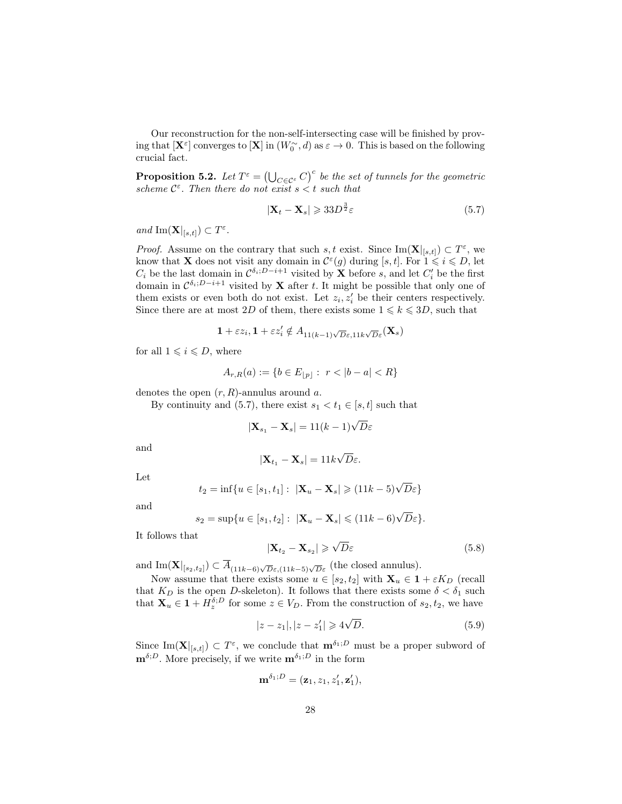Our reconstruction for the non-self-intersecting case will be finished by proving that  $[\mathbf{X}^{\varepsilon}]$  converges to  $[\mathbf{X}]$  in  $(W_0^{\sim}, d)$  as  $\varepsilon \to 0$ . This is based on the following crucial fact.

**Proposition 5.2.** Let  $T^{\varepsilon} = (\bigcup_{C \in \mathcal{C}^{\varepsilon}} C)^{c}$  be the set of tunnels for the geometric scheme  $C^{\varepsilon}$ . Then there do not exist  $s < t$  such that

$$
|\mathbf{X}_t - \mathbf{X}_s| \geqslant 33D^{\frac{3}{2}}\varepsilon\tag{5.7}
$$

and  $\text{Im}(\mathbf{X}|_{[s,t]}) \subset T^{\varepsilon}.$ 

*Proof.* Assume on the contrary that such s, t exist. Since  $\text{Im}(\mathbf{X}|_{[s,t]}) \subset T^{\varepsilon}$ , we know that **X** does not visit any domain in  $\mathcal{C}^{\varepsilon}(g)$  during [s, t]. For  $1 \leq i \leq D$ , let  $C_i$  be the last domain in  $\mathcal{C}^{\delta_i;D-i+1}$  visited by **X** before s, and let  $C'_i$  be the first domain in  $\mathcal{C}^{\delta_i;D-i+1}$  visited by **X** after t. It might be possible that only one of them exists or even both do not exist. Let  $z_i, z'_i$  be their centers respectively. Since there are at most 2D of them, there exists some  $1 \leq k \leq 3D$ , such that

$$
\mathbf{1} + \varepsilon z_i, \mathbf{1} + \varepsilon z_i' \notin A_{11(k-1)\sqrt{D}\varepsilon, 11k\sqrt{D}\varepsilon}(\mathbf{X}_s)
$$

for all  $1 \leq i \leq D$ , where

$$
A_{r,R}(a) := \{ b \in E_{\lfloor p \rfloor} : \ r < |b - a| < R \}
$$

denotes the open  $(r, R)$ -annulus around a.

By continuity and (5.7), there exist  $s_1 < t_1 \in [s, t]$  such that

$$
|\mathbf{X}_{s_1} - \mathbf{X}_s| = 11(k-1)\sqrt{D}\varepsilon
$$

and

$$
|\mathbf{X}_{t_1} - \mathbf{X}_s| = 11k\sqrt{D}\varepsilon.
$$

Let

$$
t_2 = \inf\{u \in [s_1, t_1]: \ |\mathbf{X}_u - \mathbf{X}_s| \geq (11k - 5)\sqrt{D}\varepsilon\}
$$

and

$$
s_2 = \sup\{u \in [s_1, t_2]: \ |\mathbf{X}_u - \mathbf{X}_s| \leqslant (11k - 6)\sqrt{D}\varepsilon\}.
$$

It follows that

$$
|\mathbf{X}_{t_2} - \mathbf{X}_{s_2}| \geqslant \sqrt{D}\varepsilon \tag{5.8}
$$

and  $\text{Im}(\mathbf{X}|_{[s_2,t_2]}) \subset \overline{A}_{(11k-6)\sqrt{D}\varepsilon,(11k-5)\sqrt{D}\varepsilon}$  (the closed annulus).

Now assume that there exists some  $u \in [s_2, t_2]$  with  $\mathbf{X}_u \in \mathbf{1} + \varepsilon K_D$  (recall that  $K_D$  is the open D-skeleton). It follows that there exists some  $\delta < \delta_1$  such that  $\mathbf{X}_u \in \mathbf{1} + H_z^{\delta;D}$  for some  $z \in V_D$ . From the construction of  $s_2, t_2$ , we have

$$
|z - z_1|, |z - z'_1| \geqslant 4\sqrt{D}.
$$
 (5.9)

Since  $\text{Im}(\mathbf{X}|_{[s,t]}) \subset T^{\varepsilon}$ , we conclude that  $\mathbf{m}^{\delta_1;D}$  must be a proper subword of  $\mathbf{m}^{\delta;D}$ . More precisely, if we write  $\mathbf{m}^{\delta_1;D}$  in the form

$$
\mathbf{m}^{\delta_1;D}=(\mathbf{z}_1,z_1,z_1',\mathbf{z}_1'),
$$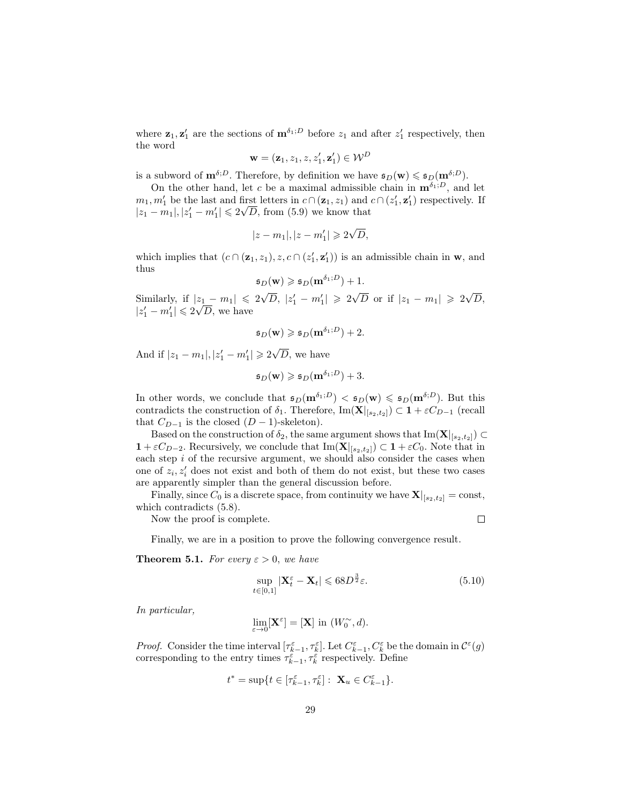where  $\mathbf{z}_1, \mathbf{z}_1'$  are the sections of  $\mathbf{m}^{\delta_1;D}$  before  $z_1$  and after  $z_1'$  respectively, then the word

$$
\mathbf{w} = (\mathbf{z}_1, z_1, z, z_1', \mathbf{z}_1') \in \mathcal{W}^D
$$

is a subword of  $\mathbf{m}^{\delta;D}$ . Therefore, by definition we have  $\mathfrak{s}_D(\mathbf{w}) \leq \mathfrak{s}_D(\mathbf{m}^{\delta;D})$ .

On the other hand, let c be a maximal admissible chain in  $\mathbf{m}^{\delta_1,D}$ , and let  $m_1, m'_1$  be the last and first letters in  $c \cap (\mathbf{z}_1, z_1)$  and  $c \cap (z'_1, \mathbf{z}'_1)$  respectively. If  $|z_1 - m_1|, |z_1' - m_1'| \leq 2\sqrt{D}$ , from (5.9) we know that

$$
|z - m_1|, |z - m'_1| \geqslant 2\sqrt{D},
$$

which implies that  $(c \cap (\mathbf{z}_1, z_1), z, c \cap (z'_1, \mathbf{z}'_1))$  is an admissible chain in **w**, and thus

$$
\mathfrak{s}_D(\mathbf{w}) \geqslant \mathfrak{s}_D(\mathbf{m}^{\delta_1;D}) + 1.
$$

Similarly, if  $|z_1 - m_1| \leq 2\sqrt{ }$  $\overline{D}$ ,  $|z'_1 - m'_1| \ge 2\sqrt{D}$  or if  $|z_1 - m_1| \ge 2\sqrt{D}$  $|z_1 - m_1| \leq 2\sqrt{D}, |z'_1 - m'_1| \geq 2\sqrt{D}$  or if  $|z_1 - m_1| \geq 2\sqrt{D},$  $|z_1'-m_1'|\leqslant 2\sqrt{D}$ , we have

$$
\mathfrak{s}_D(\mathbf{w}) \geq \mathfrak{s}_D(\mathbf{m}^{\delta_1;D}) + 2.
$$

And if  $|z_1 - m_1|, |z'_1 - m'_1| \geq 2\sqrt{ }$  $D$ , we have

$$
\mathfrak{s}_D(\mathbf{w}) \geq \mathfrak{s}_D(\mathbf{m}^{\delta_1;D}) + 3.
$$

In other words, we conclude that  $\mathfrak{s}_D(\mathbf{m}^{\delta_1;D}) < \mathfrak{s}_D(\mathbf{w}) \leq \mathfrak{s}_D(\mathbf{m}^{\delta;D})$ . But this contradicts the construction of  $\delta_1$ . Therefore, Im( $\mathbf{X}|_{[s_2,t_2]}) \subset \mathbf{1} + \varepsilon C_{D-1}$  (recall that  $C_{D-1}$  is the closed  $(D-1)$ -skeleton).

Based on the construction of  $\delta_2$ , the same argument shows that  $\text{Im}(\mathbf{X}|_{[s_2,t_2]}) \subset$  $1 + \varepsilon C_{D-2}$ . Recursively, we conclude that  $\text{Im}(\mathbf{X}|_{[s_2,t_2]}) \subset 1 + \varepsilon C_0$ . Note that in each step  $i$  of the recursive argument, we should also consider the cases when one of  $z_i, z'_i$  does not exist and both of them do not exist, but these two cases are apparently simpler than the general discussion before.

Finally, since  $C_0$  is a discrete space, from continuity we have  $\mathbf{X}|_{[s_2,t_2]} = \text{const}$ , which contradicts  $(5.8)$ .

Now the proof is complete.

 $\Box$ 

Finally, we are in a position to prove the following convergence result.

**Theorem 5.1.** For every  $\varepsilon > 0$ , we have

$$
\sup_{t \in [0,1]} |\mathbf{X}_t^{\varepsilon} - \mathbf{X}_t| \leqslant 68D^{\frac{3}{2}}\varepsilon. \tag{5.10}
$$

In particular,

$$
\lim_{\varepsilon \to 0} [\mathbf{X}^{\varepsilon}] = [\mathbf{X}] \text{ in } (W_0^{\sim}, d).
$$

*Proof.* Consider the time interval  $[\tau_{k-1}^{\varepsilon}, \tau_k^{\varepsilon}]$ . Let  $C_{k-1}^{\varepsilon}, C_k^{\varepsilon}$  be the domain in  $\mathcal{C}^{\varepsilon}(g)$ corresponding to the entry times  $\tau_{k-1}^{\varepsilon}, \tau_k^{\varepsilon}$  respectively. Define

$$
t^*=\sup\{t\in[\tau_{k-1}^\varepsilon,\tau_k^\varepsilon]:\ \mathbf{X}_u\in C_{k-1}^\varepsilon\}.
$$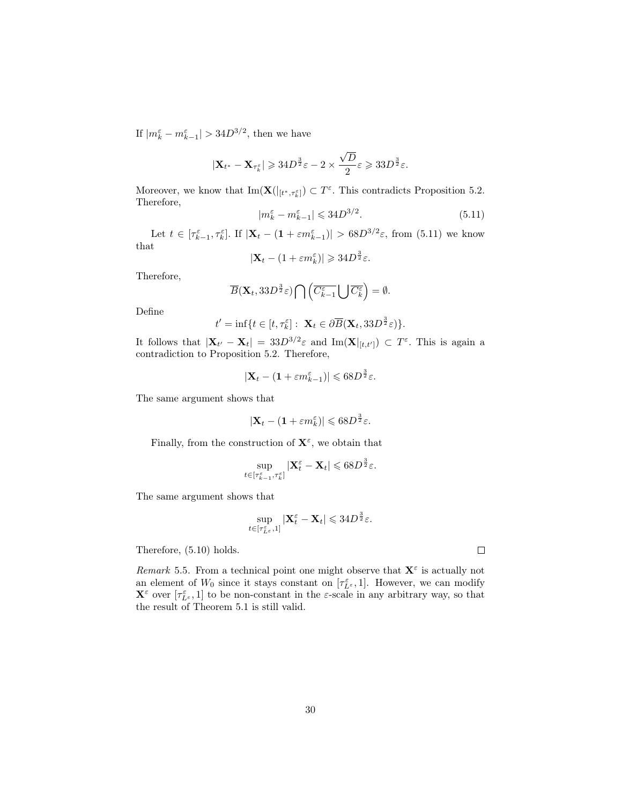If  $|m_k^{\varepsilon} - m_{k-1}^{\varepsilon}| > 34D^{3/2}$ , then we have

$$
|\mathbf{X}_{t^*}-\mathbf{X}_{\tau_k^{\varepsilon}}|\geqslant 34D^{\frac{3}{2}}\varepsilon-2\times\frac{\sqrt{D}}{2}\varepsilon\geqslant 33D^{\frac{3}{2}}\varepsilon.
$$

Moreover, we know that  $\text{Im}(\mathbf{X}(|_{[t^*,\tau_k^{\varepsilon}]}) \subset T^{\varepsilon}$ . This contradicts Proposition 5.2. Therefore,

$$
|m_k^{\varepsilon} - m_{k-1}^{\varepsilon}| \leqslant 34D^{3/2}.\tag{5.11}
$$

Let  $t \in [\tau_{k-1}^{\varepsilon}, \tau_k^{\varepsilon}]$ . If  $|\mathbf{X}_t - (1 + \varepsilon m_{k-1}^{\varepsilon})| > 68D^{3/2}\varepsilon$ , from (5.11) we know that

 $|\mathbf{X}_t - (1 + \varepsilon m_k^{\varepsilon})| \geq 34D^{\frac{3}{2}}\varepsilon.$ 

Therefore,

$$
\overline{B}(\mathbf{X}_t, 33D^{\frac{3}{2}}\varepsilon) \bigcap \left( \overline{C_{k-1}^{\varepsilon}} \bigcup \overline{C_{k}^{\varepsilon}} \right) = \emptyset.
$$

Define

$$
t' = \inf\{t \in [t, \tau_k^{\varepsilon}] : \mathbf{X}_t \in \partial \overline{B}(\mathbf{X}_t, 33D^{\frac{3}{2}}\varepsilon)\}.
$$

It follows that  $|\mathbf{X}_{t'} - \mathbf{X}_t| = 33D^{3/2}\varepsilon$  and  $\text{Im}(\mathbf{X}|_{[t,t']}) \subset T^{\varepsilon}$ . This is again a contradiction to Proposition 5.2. Therefore,

$$
|\mathbf{X}_t - (1 + \varepsilon m_{k-1}^{\varepsilon})| \leq 68D^{\frac{3}{2}}\varepsilon.
$$

The same argument shows that

$$
|\mathbf{X}_t - (1 + \varepsilon m_k^{\varepsilon})| \leq 68D^{\frac{3}{2}}\varepsilon.
$$

Finally, from the construction of  $\mathbf{X}^{\varepsilon}$ , we obtain that

$$
\sup_{t\in[\tau_{k-1}^\varepsilon,\tau_k^\varepsilon]}|\mathbf{X}_t^\varepsilon-\mathbf{X}_t|\leqslant 68D^{\frac{3}{2}}\varepsilon.
$$

The same argument shows that

$$
\sup_{t\in[\tau_{L^{\varepsilon}},1]}|\mathbf{X}_{t}^{\varepsilon}-\mathbf{X}_{t}|\leqslant 34D^{\frac{3}{2}}\varepsilon.
$$

Therefore, (5.10) holds.

Remark 5.5. From a technical point one might observe that  $X^{\varepsilon}$  is actually not an element of  $W_0$  since it stays constant on  $[\tau_{L^{\varepsilon}}^{\varepsilon}, 1]$ . However, we can modify  $\mathbf{X}^{\varepsilon}$  over  $[\tau_{L^{\varepsilon}}^{\varepsilon},1]$  to be non-constant in the  $\varepsilon$ -scale in any arbitrary way, so that the result of Theorem 5.1 is still valid.

30

 $\Box$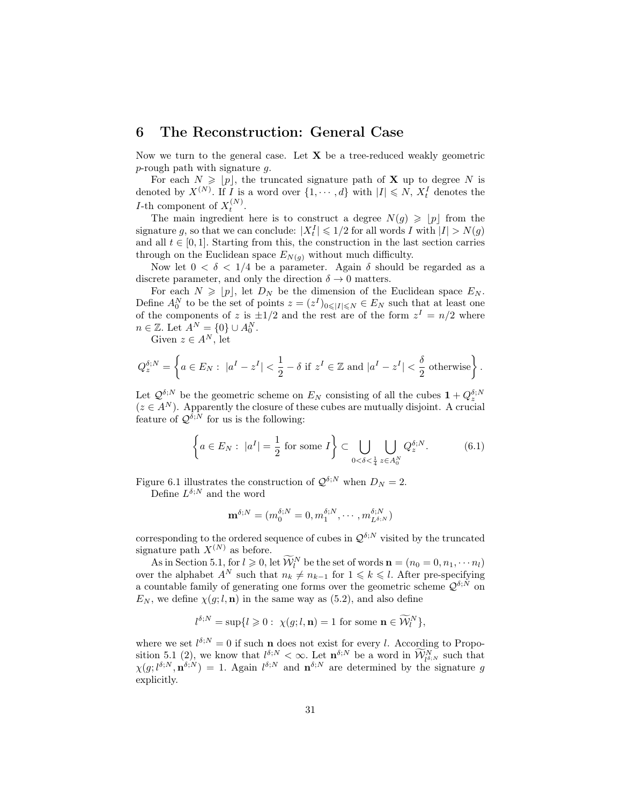# 6 The Reconstruction: General Case

Now we turn to the general case. Let  $X$  be a tree-reduced weakly geometric p-rough path with signature g.

For each  $N \geqslant [p]$ , the truncated signature path of **X** up to degree N is denoted by  $X^{(N)}$ . If I is a word over  $\{1, \dots, d\}$  with  $|I| \leq N$ ,  $X_t^I$  denotes the *I*-th component of  $X_t^{(N)}$ .

The main ingredient here is to construct a degree  $N(g) \geqslant |p|$  from the signature g, so that we can conclude:  $|X_t^I| \leq 1/2$  for all words I with  $|I| > N(g)$ and all  $t \in [0, 1]$ . Starting from this, the construction in the last section carries through on the Euclidean space  $E_{N(g)}$  without much difficulty.

Now let  $0 < \delta < 1/4$  be a parameter. Again  $\delta$  should be regarded as a discrete parameter, and only the direction  $\delta \to 0$  matters.

For each  $N \geqslant |p|$ , let  $D_N$  be the dimension of the Euclidean space  $E_N$ . Define  $A_0^N$  to be the set of points  $z = (z^I)_{0 \le |I| \le N} \in E_N$  such that at least one of the components of z is  $\pm 1/2$  and the rest are of the form  $z<sup>I</sup> = n/2$  where  $n \in \mathbb{Z}$ . Let  $A^N = \{0\} \cup A_0^N$ .

Given  $z \in A^N$ , let

$$
Q^{\delta;N}_z = \left\{ a \in E_N : \ |a^I - z^I| < \frac{1}{2} - \delta \text{ if } z^I \in \mathbb{Z} \text{ and } |a^I - z^I| < \frac{\delta}{2} \text{ otherwise} \right\}.
$$

Let  $\mathcal{Q}^{\delta;N}$  be the geometric scheme on  $E_N$  consisting of all the cubes  $1 + Q_z^{\delta;N}$  $(z \in A^N)$ . Apparently the closure of these cubes are mutually disjoint. A crucial feature of  $\mathcal{Q}^{\tilde{\delta};\tilde{N}}$  for us is the following:

$$
\left\{ a \in E_N : \ |a^I| = \frac{1}{2} \text{ for some } I \right\} \subset \bigcup_{0 < \delta < \frac{1}{4}} \bigcup_{z \in A_0^N} Q_z^{\delta;N}.\tag{6.1}
$$

Figure 6.1 illustrates the construction of  $\mathcal{Q}^{\delta;N}$  when  $D_N = 2$ .

Define  $L^{\delta;N}$  and the word

$$
\mathbf{m}^{\delta;N} = (m_0^{\delta;N} = 0, m_1^{\delta;N}, \cdots, m_{L^{\delta;N}}^{\delta;N})
$$

corresponding to the ordered sequence of cubes in  $\mathcal{Q}^{\delta;N}$  visited by the truncated signature path  $X^{(N)}$  as before.

As in Section 5.1, for  $l \geq 0$ , let  $\widetilde{\mathcal{W}}_l^N$  be the set of words  $\mathbf{n} = (n_0 = 0, n_1, \dots, n_l)$ over the alphabet  $A^N$  such that  $n_k \neq n_{k-1}$  for  $1 \leq k \leq l$ . After pre-specifying a countable family of generating one forms over the geometric scheme  $\mathcal{Q}^{\delta; \tilde{N}}$  on  $E_N$ , we define  $\chi(g; l, n)$  in the same way as (5.2), and also define

$$
l^{\delta;N} = \sup\{l \geq 0: \ \chi(g;l, \mathbf{n}) = 1 \text{ for some } \mathbf{n} \in \widetilde{\mathcal{W}}_l^N\},
$$

where we set  $l^{\delta;N} = 0$  if such **n** does not exist for every l. According to Proposition 5.1 (2), we know that  $l^{\delta,N} < \infty$ . Let  $\mathbf{n}^{\delta,N}$  be a word in  $\widetilde{\mathcal{W}}_{l^{\delta,N}}^N$  such that  $\chi(g; l^{\delta;N}, \mathbf{n}^{\delta;N}) = 1$ . Again  $l^{\delta;N}$  and  $\mathbf{n}^{\delta;N}$  are determined by the signature g explicitly.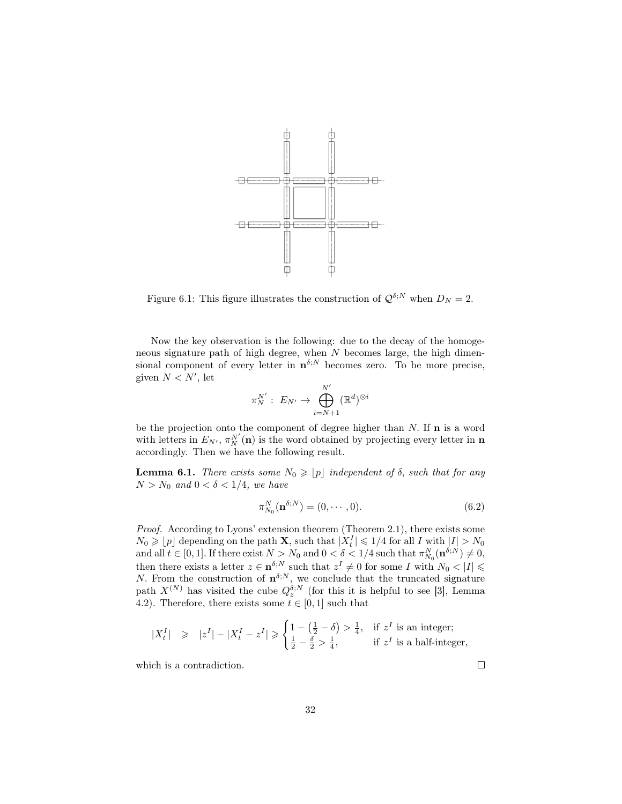

Figure 6.1: This figure illustrates the construction of  $\mathcal{Q}^{\delta;N}$  when  $D_N = 2$ .

Now the key observation is the following: due to the decay of the homogeneous signature path of high degree, when  $N$  becomes large, the high dimensional component of every letter in  $\mathbf{n}^{\delta;N}$  becomes zero. To be more precise, given  $N < N'$ , let

$$
\pi_N^{N'}:\ E_{N'}\to \bigoplus_{i=N+1}^{N'}(\mathbb{R}^d)^{\otimes i}
$$

be the projection onto the component of degree higher than  $N$ . If  $\mathbf n$  is a word with letters in  $E_{N'}$ ,  $\pi_N^{N'}(\mathbf{n})$  is the word obtained by projecting every letter in  $\mathbf{n}$ accordingly. Then we have the following result.

**Lemma 6.1.** There exists some  $N_0 \geqslant [p]$  independent of  $\delta$ , such that for any  $N > N_0$  and  $0 < \delta < 1/4$ , we have

$$
\pi_{N_0}^N(\mathbf{n}^{\delta;N}) = (0,\cdots,0). \tag{6.2}
$$

Proof. According to Lyons' extension theorem (Theorem 2.1), there exists some  $N_0 \geqslant \lfloor p \rfloor$  depending on the path **X**, such that  $|X_t^I| \leqslant 1/4$  for all I with  $|I| > N_0$  $T_{10} \geq T_{11}$  depending on the path  $\mathbf{X}$ , such that  $|A_t| \leq T/4$  for an T with  $|I| > T_{00}$  and all  $t \in [0, 1]$ . If there exist  $N > N_0$  and  $0 < \delta < 1/4$  such that  $\pi_{N_0}^{N_0}(\mathbf{n}^{\delta;N}) \neq 0$ , then there exists a letter  $z \in \mathbf{n}^{\delta;N}$  such that  $z^I \neq 0$  for some I with  $N_0 < |I| \leq$ N. From the construction of  $\mathbf{n}^{\delta;N}$ , we conclude that the truncated signature path  $X^{(N)}$  has visited the cube  $Q_2^{\delta;N}$  (for this it is helpful to see [3], Lemma 4.2). Therefore, there exists some  $t \in [0, 1]$  such that

$$
|X_t^I| \geqslant |z^I|-|X_t^I-z^I|\geqslant \begin{cases} 1-\left(\frac{1}{2}-\delta\right) > \frac{1}{4}, & \text{if } z^I \text{ is an integer;}\\ \frac{1}{2}-\frac{\delta}{2} > \frac{1}{4}, & \text{if } z^I \text{ is a half-integer,} \end{cases}
$$

which is a contradiction.

 $\Box$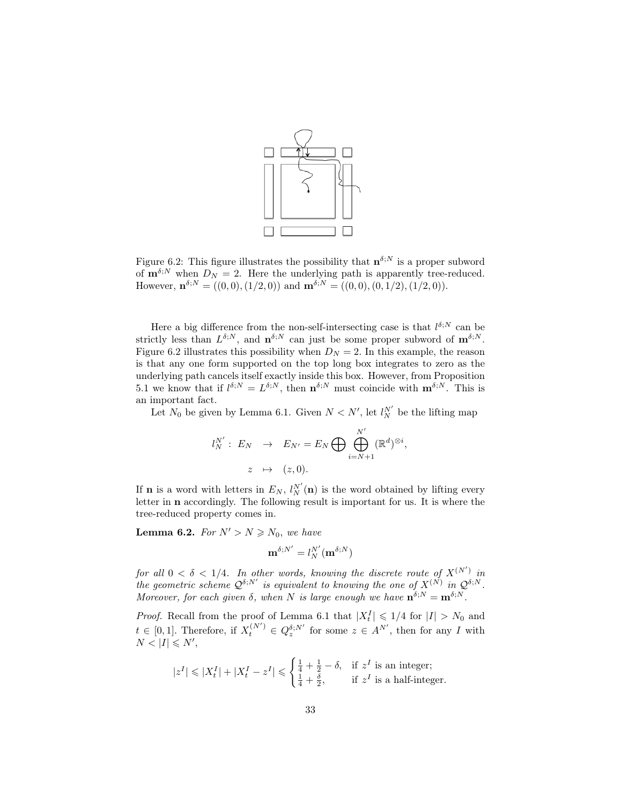

Figure 6.2: This figure illustrates the possibility that  $\mathbf{n}^{\delta;N}$  is a proper subword of  $\mathbf{m}^{\delta;N}$  when  $D_N = 2$ . Here the underlying path is apparently tree-reduced. However,  $\mathbf{n}^{\delta;N} = ((0,0),(1/2,0))$  and  $\mathbf{m}^{\delta;N} = ((0,0),(0,1/2),(1/2,0)).$ 

Here a big difference from the non-self-intersecting case is that  $l^{\delta;N}$  can be strictly less than  $L^{\delta;N}$ , and  $\mathbf{n}^{\delta;N}$  can just be some proper subword of  $\mathbf{m}^{\delta;N}$ . Figure 6.2 illustrates this possibility when  $D<sub>N</sub> = 2$ . In this example, the reason is that any one form supported on the top long box integrates to zero as the underlying path cancels itself exactly inside this box. However, from Proposition 5.1 we know that if  $l^{\delta;N} = L^{\delta;N}$ , then  $n^{\delta;N}$  must coincide with  $m^{\delta;N}$ . This is an important fact.

Let  $N_0$  be given by Lemma 6.1. Given  $N < N'$ , let  $l_N^{N'}$  be the lifting map

$$
l_N^{N'}: E_N \to E_{N'} = E_N \bigoplus \bigoplus_{i=N+1}^{N'} (\mathbb{R}^d)^{\otimes i},
$$
  

$$
z \mapsto (z, 0).
$$

If **n** is a word with letters in  $E_N$ ,  $l_N^{N'}(\mathbf{n})$  is the word obtained by lifting every letter in n accordingly. The following result is important for us. It is where the tree-reduced property comes in.

**Lemma 6.2.** For  $N' > N \ge N_0$ , we have

$$
\mathbf{m}^{\delta;N'}=l_N^{N'}(\mathbf{m}^{\delta;N})
$$

for all  $0 < \delta < 1/4$ . In other words, knowing the discrete route of  $X^{(N')}$  in the geometric scheme  $\mathcal{Q}^{\delta;N'}$  is equivalent to knowing the one of  $X^{(\tilde{N})}$  in  $\mathcal{Q}^{\delta;N}$ . Moreover, for each given  $\delta$ , when N is large enough we have  $\mathbf{n}^{\delta;N} = \mathbf{m}^{\delta;N}$ .

*Proof.* Recall from the proof of Lemma 6.1 that  $|X_t^I| \leq 1/4$  for  $|I| > N_0$  and  $t \in [0,1]$ . Therefore, if  $X_t^{(N')} \in Q_z^{\delta;N'}$  for some  $z \in A^{N'}$ , then for any I with  $N < |I| \leqslant N'$ ,

$$
|z^I| \leqslant |X^I_t| + |X^I_t - z^I| \leqslant \begin{cases} \frac{1}{4} + \frac{1}{2} - \delta, & \text{if } z^I \text{ is an integer;}\\ \frac{1}{4} + \frac{\delta}{2}, & \text{if } z^I \text{ is a half-integer.} \end{cases}
$$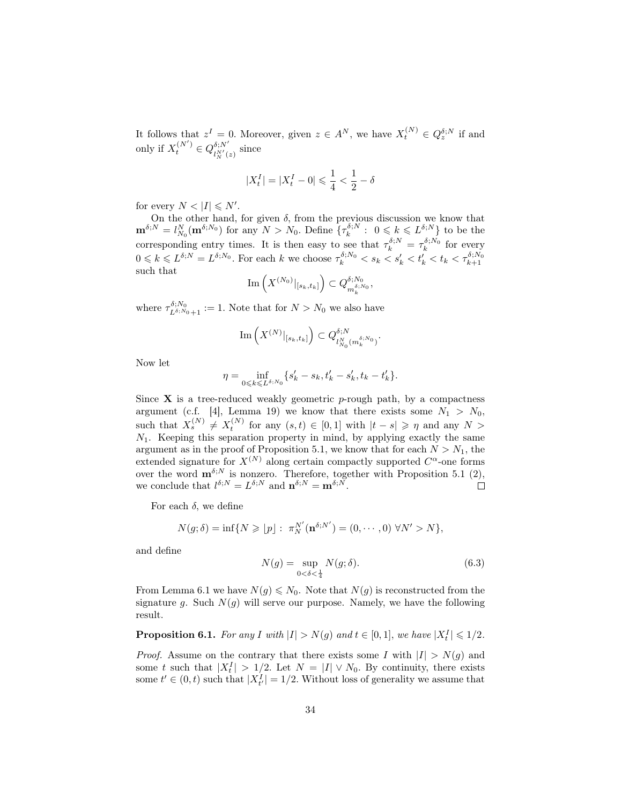It follows that  $z^I = 0$ . Moreover, given  $z \in A^N$ , we have  $X_t^{(N)} \in Q_z^{\delta;N}$  if and only if  $X_t^{(N')} \in Q_{t^{N'}t}^{\delta;N'}$  $\frac{\partial!N}{\partial N'(z)}$  since

$$
|X^I_t| = |X^I_t - 0| \leqslant \frac{1}{4} < \frac{1}{2} - \delta
$$

for every  $N < |I| \le N'$ .

On the other hand, for given  $\delta$ , from the previous discussion we know that  $\mathbf{m}^{\delta;N} = l_{N_0}^N(\mathbf{m}^{\delta;N_0})$  for any  $N > N_0$ . Define  $\{\tau_k^{\delta;N} : 0 \leq k \leq L^{\delta;N}\}\)$  to be the  $N_0$  (III  $\rightarrow$  ) for any  $N > N_0$ . Define  $\gamma_k$ corresponding entry times. It is then easy to see that  $\tau_k^{\delta;N} = \tau_k^{\delta;N_0}$  for every  $0 \leq k \leq L^{\delta;N} = L^{\delta;N_0}$ . For each k we choose  $\tau_k^{\delta;N_0} < s_k < s_k' < t_k' < t_k < \tau_{k+1}^{\delta;N_0}$ such that

$$
\mathrm{Im}\left(X^{(N_0)}|_{[s_k,t_k]}\right) \subset Q_{m_k^{\delta;N_0}}^{\delta;N_0},
$$

where  $\tau_{L^{\delta;N_0}+1}^{\delta;N_0} := 1$ . Note that for  $N > N_0$  we also have

$$
\text{Im}\left(X^{(N)}|_{[s_k,t_k]}\right)\subset Q^{\delta;N}_{l_{N_0}^N(m_k^{\delta;N_0})}.
$$

Now let

$$
\eta = \inf_{0 \leq k \leq L^{\delta;N_0}} \{ s'_k - s_k, t'_k - s'_k, t_k - t'_k \}.
$$

Since  $X$  is a tree-reduced weakly geometric p-rough path, by a compactness argument (c.f. [4], Lemma 19) we know that there exists some  $N_1 > N_0$ , such that  $X_s^{(N)} \neq X_t^{(N)}$  for any  $(s,t) \in [0,1]$  with  $|t-s| \geqslant \eta$  and any  $N >$  $N_1$ . Keeping this separation property in mind, by applying exactly the same argument as in the proof of Proposition 5.1, we know that for each  $N > N_1$ , the extended signature for  $X^{(N)}$  along certain compactly supported  $C^{\alpha}$ -one forms over the word  $\mathbf{m}^{\delta;N}$  is nonzero. Therefore, together with Proposition 5.1 (2), we conclude that  $l^{\delta;N} = L^{\delta;N}$  and  $\mathbf{n}^{\delta;N} = \mathbf{m}^{\delta;N}$ .

For each  $\delta$ , we define

$$
N(g; \delta) = \inf \{ N \geqslant \lfloor p \rfloor : \pi_N^{N'}(\mathbf{n}^{\delta; N'}) = (0, \cdots, 0) \ \forall N' > N \},
$$

and define

$$
N(g) = \sup_{0 < \delta < \frac{1}{4}} N(g; \delta). \tag{6.3}
$$

From Lemma 6.1 we have  $N(g) \leq N_0$ . Note that  $N(g)$  is reconstructed from the signature g. Such  $N(g)$  will serve our purpose. Namely, we have the following result.

**Proposition 6.1.** For any I with  $|I| > N(g)$  and  $t \in [0,1]$ , we have  $|X_t^I| \leq 1/2$ .

*Proof.* Assume on the contrary that there exists some I with  $|I| > N(g)$  and some t such that  $|X_t^I| > 1/2$ . Let  $N = |I| \vee N_0$ . By continuity, there exists some  $t' \in (0, t)$  such that  $|X_{t'}^I| = 1/2$ . Without loss of generality we assume that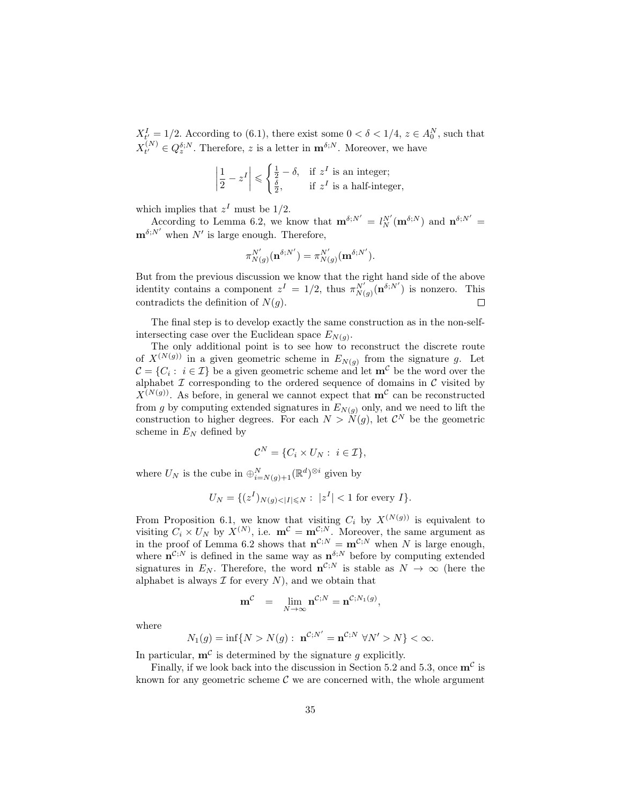$X_{t'}^I = 1/2$ . According to (6.1), there exist some  $0 < \delta < 1/4$ ,  $z \in A_0^N$ , such that  $X_{t'}^{(N)}$  $t^{(N)} \in Q_z^{\delta;N}$ . Therefore, z is a letter in  $\mathbf{m}^{\delta;N}$ . Moreover, we have

$$
\left|\frac{1}{2} - z^I\right| \leqslant \begin{cases} \frac{1}{2} - \delta, & \text{if } z^I \text{ is an integer;}\\ \frac{\delta}{2}, & \text{if } z^I \text{ is a half-integer,} \end{cases}
$$

which implies that  $z<sup>I</sup>$  must be 1/2.

According to Lemma 6.2, we know that  $\mathbf{m}^{\delta;N'} = l_N^{N'}(\mathbf{m}^{\delta;N})$  and  $\mathbf{n}^{\delta;N'} =$  $\mathbf{m}^{\delta;N'}$  when  $N'$  is large enough. Therefore,

$$
\pi^{N'}_{N(g)}(\mathbf{n}^{\delta;N'})=\pi^{N'}_{N(g)}(\mathbf{m}^{\delta;N'}).
$$

But from the previous discussion we know that the right hand side of the above identity contains a component  $z^I = 1/2$ , thus  $\pi_{N(g)}^{N'}(\mathbf{n}^{\delta;N'})$  is nonzero. This contradicts the definition of  $N(q)$ .  $\Box$ 

The final step is to develop exactly the same construction as in the non-selfintersecting case over the Euclidean space  $E_{N(g)}$ .

The only additional point is to see how to reconstruct the discrete route of  $X^{(N(g))}$  in a given geometric scheme in  $E_{N(g)}$  from the signature g. Let  $\mathcal{C} = \{C_i : i \in \mathcal{I}\}\$ be a given geometric scheme and let  $\mathbf{m}^{\mathcal{C}}$  be the word over the alphabet  $\mathcal I$  corresponding to the ordered sequence of domains in  $\mathcal C$  visited by  $X^{(N(g))}$ . As before, in general we cannot expect that  $\mathbf{m}^{\mathcal{C}}$  can be reconstructed from g by computing extended signatures in  $E_{N(q)}$  only, and we need to lift the construction to higher degrees. For each  $N > N(g)$ , let  $\mathcal{C}^N$  be the geometric scheme in  $E<sub>N</sub>$  defined by

$$
\mathcal{C}^N = \{C_i \times U_N : i \in \mathcal{I}\},\
$$

where  $U_N$  is the cube in  $\bigoplus_{i=N(g)+1}^N (\mathbb{R}^d)^{\otimes i}$  given by

$$
U_N = \{ (z^I)_{N(g) < |I| \le N} : \ |z^I| < 1 \text{ for every } I \}.
$$

From Proposition 6.1, we know that visiting  $C_i$  by  $X^{(N(g))}$  is equivalent to visiting  $C_i \times U_N$  by  $X^{(N)}$ , i.e.  $\mathbf{m}^{\mathcal{C}} = \mathbf{m}^{\mathcal{C};N}$ . Moreover, the same argument as in the proof of Lemma 6.2 shows that  $\mathbf{n}^{\mathcal{C};N} = \mathbf{m}^{\mathcal{C};N}$  when N is large enough, where  $\mathbf{n}^{\mathcal{C};N}$  is defined in the same way as  $\mathbf{n}^{\delta;N}$  before by computing extended signatures in  $E_N$ . Therefore, the word  $\mathbf{n}^{\mathcal{C},N}$  is stable as  $N \to \infty$  (here the alphabet is always  $\mathcal I$  for every  $N$ ), and we obtain that

$$
\mathbf{m}^{\mathcal{C}} = \lim_{N \to \infty} \mathbf{n}^{\mathcal{C};N} = \mathbf{n}^{\mathcal{C};N_1(g)},
$$

where

$$
N_1(g) = \inf\{N > N(g): \; \mathbf{n}^{\mathcal{C};N'} = \mathbf{n}^{\mathcal{C};N} \; \forall N' > N\} < \infty.
$$

In particular,  $\mathbf{m}^{\mathcal{C}}$  is determined by the signature g explicitly.

Finally, if we look back into the discussion in Section 5.2 and 5.3, once  $\mathbf{m}^{\mathcal{C}}$  is known for any geometric scheme  $C$  we are concerned with, the whole argument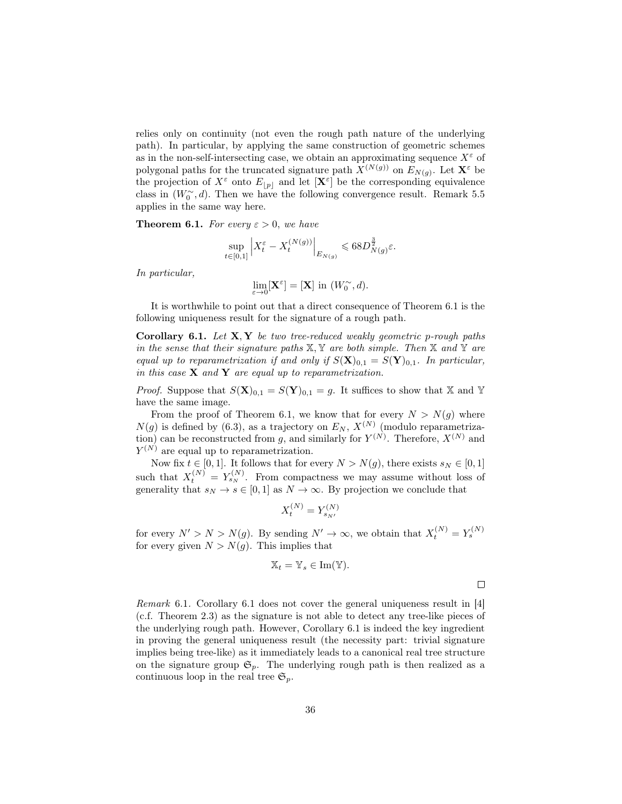relies only on continuity (not even the rough path nature of the underlying path). In particular, by applying the same construction of geometric schemes as in the non-self-intersecting case, we obtain an approximating sequence  $X^{\varepsilon}$  of polygonal paths for the truncated signature path  $X^{(N(g))}$  on  $E_{N(g)}$ . Let  $\mathbf{X}^{\varepsilon}$  be the projection of  $X^{\varepsilon}$  onto  $E_{|p|}$  and let  $[\mathbf{X}^{\varepsilon}]$  be the corresponding equivalence class in  $(W_0^{\sim}, d)$ . Then we have the following convergence result. Remark 5.5 applies in the same way here.

**Theorem 6.1.** For every  $\varepsilon > 0$ , we have

$$
\sup_{t\in[0,1]}\left|X_t^{\varepsilon}-X_t^{(N(g))}\right|_{E_{N(g)}}\leqslant 68D_{N(g)}^{\frac{3}{2}}\varepsilon.
$$

In particular,

$$
\lim_{\varepsilon \to 0} [\mathbf{X}^{\varepsilon}] = [\mathbf{X}] \text{ in } (W_0^{\sim}, d).
$$

It is worthwhile to point out that a direct consequence of Theorem 6.1 is the following uniqueness result for the signature of a rough path.

**Corollary 6.1.** Let  $X, Y$  be two tree-reduced weakly geometric p-rough paths in the sense that their signature paths  $X, Y$  are both simple. Then  $X$  and  $Y$  are equal up to reparametrization if and only if  $S(\mathbf{X})_{0,1} = S(\mathbf{Y})_{0,1}$ . In particular, in this case  $X$  and  $Y$  are equal up to reparametrization.

*Proof.* Suppose that  $S(\mathbf{X})_{0,1} = S(\mathbf{Y})_{0,1} = g$ . It suffices to show that X and Y have the same image.

From the proof of Theorem 6.1, we know that for every  $N > N(q)$  where  $N(g)$  is defined by (6.3), as a trajectory on  $E_N$ ,  $X^{(N)}$  (modulo reparametrization) can be reconstructed from g, and similarly for  $Y^{(N)}$ . Therefore,  $X^{(N)}$  and  $Y^{(N)}$  are equal up to reparametrization.

Now fix  $t \in [0, 1]$ . It follows that for every  $N > N(g)$ , there exists  $s_N \in [0, 1]$ such that  $X_t^{(N)} = Y_{s_N}^{(N)}$ . From compactness we may assume without loss of generality that  $s_N \to s \in [0,1]$  as  $N \to \infty$ . By projection we conclude that

$$
X_t^{(N)} = Y_{s_{N'}}^{(N)}
$$

for every  $N' > N > N(g)$ . By sending  $N' \to \infty$ , we obtain that  $X_t^{(N)} = Y_s^{(N)}$ for every given  $N > N(g)$ . This implies that

$$
\mathbb{X}_t = \mathbb{Y}_s \in \text{Im}(\mathbb{Y}).
$$

Remark 6.1. Corollary 6.1 does not cover the general uniqueness result in [4] (c.f. Theorem 2.3) as the signature is not able to detect any tree-like pieces of the underlying rough path. However, Corollary 6.1 is indeed the key ingredient in proving the general uniqueness result (the necessity part: trivial signature implies being tree-like) as it immediately leads to a canonical real tree structure on the signature group  $\mathfrak{S}_p$ . The underlying rough path is then realized as a continuous loop in the real tree  $\mathfrak{S}_p$ .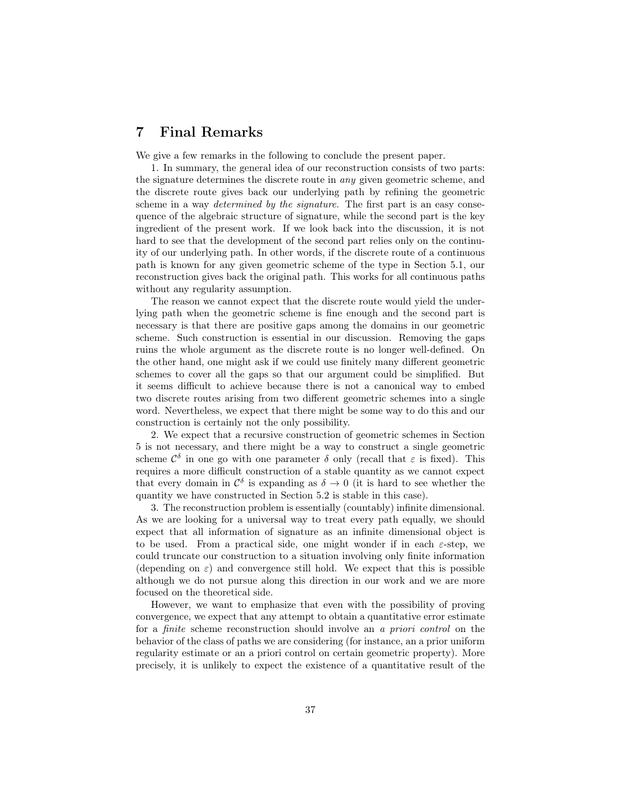### 7 Final Remarks

We give a few remarks in the following to conclude the present paper.

1. In summary, the general idea of our reconstruction consists of two parts: the signature determines the discrete route in any given geometric scheme, and the discrete route gives back our underlying path by refining the geometric scheme in a way *determined by the signature*. The first part is an easy consequence of the algebraic structure of signature, while the second part is the key ingredient of the present work. If we look back into the discussion, it is not hard to see that the development of the second part relies only on the continuity of our underlying path. In other words, if the discrete route of a continuous path is known for any given geometric scheme of the type in Section 5.1, our reconstruction gives back the original path. This works for all continuous paths without any regularity assumption.

The reason we cannot expect that the discrete route would yield the underlying path when the geometric scheme is fine enough and the second part is necessary is that there are positive gaps among the domains in our geometric scheme. Such construction is essential in our discussion. Removing the gaps ruins the whole argument as the discrete route is no longer well-defined. On the other hand, one might ask if we could use finitely many different geometric schemes to cover all the gaps so that our argument could be simplified. But it seems difficult to achieve because there is not a canonical way to embed two discrete routes arising from two different geometric schemes into a single word. Nevertheless, we expect that there might be some way to do this and our construction is certainly not the only possibility.

2. We expect that a recursive construction of geometric schemes in Section 5 is not necessary, and there might be a way to construct a single geometric scheme  $\mathcal{C}^{\delta}$  in one go with one parameter  $\delta$  only (recall that  $\varepsilon$  is fixed). This requires a more difficult construction of a stable quantity as we cannot expect that every domain in  $\mathcal{C}^{\delta}$  is expanding as  $\delta \to 0$  (it is hard to see whether the quantity we have constructed in Section 5.2 is stable in this case).

3. The reconstruction problem is essentially (countably) infinite dimensional. As we are looking for a universal way to treat every path equally, we should expect that all information of signature as an infinite dimensional object is to be used. From a practical side, one might wonder if in each  $\varepsilon$ -step, we could truncate our construction to a situation involving only finite information (depending on  $\varepsilon$ ) and convergence still hold. We expect that this is possible although we do not pursue along this direction in our work and we are more focused on the theoretical side.

However, we want to emphasize that even with the possibility of proving convergence, we expect that any attempt to obtain a quantitative error estimate for a finite scheme reconstruction should involve an a priori control on the behavior of the class of paths we are considering (for instance, an a prior uniform regularity estimate or an a priori control on certain geometric property). More precisely, it is unlikely to expect the existence of a quantitative result of the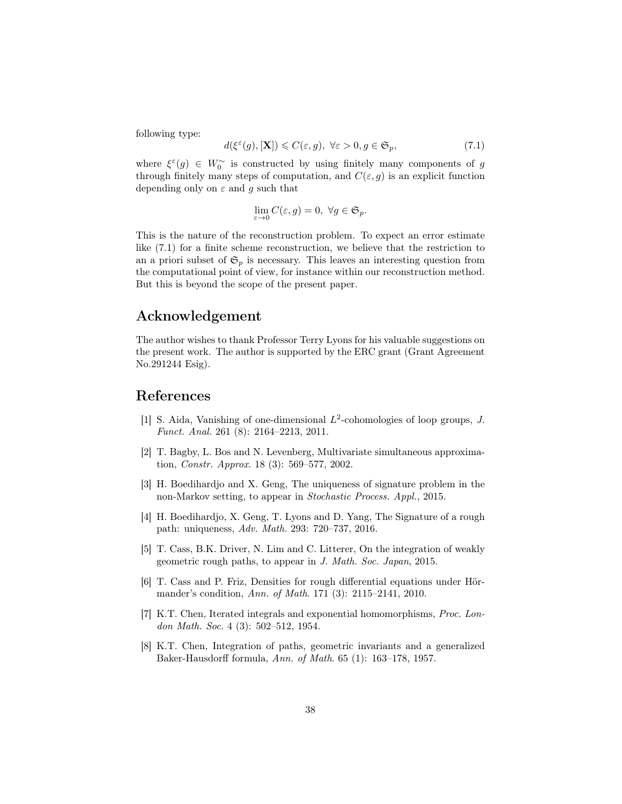following type:

$$
d(\xi^{\varepsilon}(g), [\mathbf{X}]) \leqslant C(\varepsilon, g), \ \forall \varepsilon > 0, g \in \mathfrak{S}_p,\tag{7.1}
$$

where  $\xi^{\varepsilon}(g) \in W_0^{\sim}$  is constructed by using finitely many components of g through finitely many steps of computation, and  $C(\varepsilon, g)$  is an explicit function depending only on  $\varepsilon$  and q such that

$$
\lim_{\varepsilon \to 0} C(\varepsilon, g) = 0, \ \forall g \in \mathfrak{S}_p.
$$

This is the nature of the reconstruction problem. To expect an error estimate like (7.1) for a finite scheme reconstruction, we believe that the restriction to an a priori subset of  $\mathfrak{S}_p$  is necessary. This leaves an interesting question from the computational point of view, for instance within our reconstruction method. But this is beyond the scope of the present paper.

# Acknowledgement

The author wishes to thank Professor Terry Lyons for his valuable suggestions on the present work. The author is supported by the ERC grant (Grant Agreement No.291244 Esig).

# References

- [1] S. Aida, Vanishing of one-dimensional  $L^2$ -cohomologies of loop groups, J. Funct. Anal. 261 (8): 2164–2213, 2011.
- [2] T. Bagby, L. Bos and N. Levenberg, Multivariate simultaneous approximation, Constr. Approx. 18 (3): 569–577, 2002.
- [3] H. Boedihardjo and X. Geng, The uniqueness of signature problem in the non-Markov setting, to appear in Stochastic Process. Appl., 2015.
- [4] H. Boedihardjo, X. Geng, T. Lyons and D. Yang, The Signature of a rough path: uniqueness, Adv. Math. 293: 720–737, 2016.
- [5] T. Cass, B.K. Driver, N. Lim and C. Litterer, On the integration of weakly geometric rough paths, to appear in J. Math. Soc. Japan, 2015.
- [6] T. Cass and P. Friz, Densities for rough differential equations under Hörmander's condition, Ann. of Math. 171 (3): 2115–2141, 2010.
- [7] K.T. Chen, Iterated integrals and exponential homomorphisms, Proc. London Math. Soc. 4 (3): 502–512, 1954.
- [8] K.T. Chen, Integration of paths, geometric invariants and a generalized Baker-Hausdorff formula, Ann. of Math. 65 (1): 163–178, 1957.